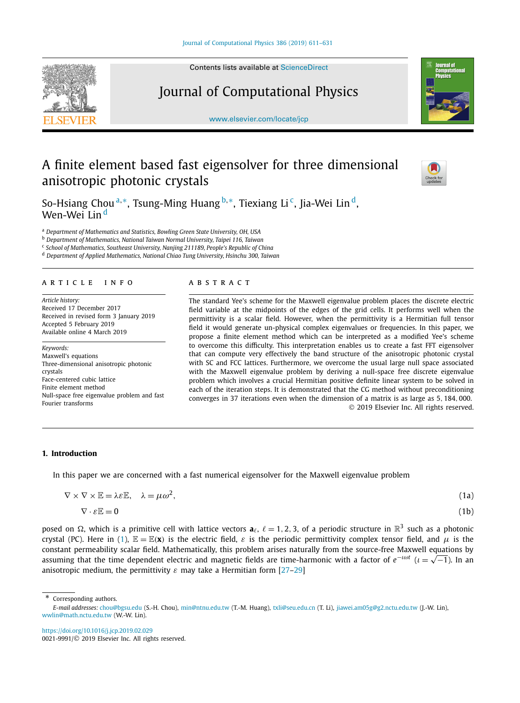Contents lists available at [ScienceDirect](http://www.ScienceDirect.com/)

# Journal of Computational Physics

[www.elsevier.com/locate/jcp](http://www.elsevier.com/locate/jcp)

# A finite element based fast eigensolver for three dimensional anisotropic photonic crystals

So-Hsiang Chou <sup>a</sup>*,*∗, Tsung-Ming Huang <sup>b</sup>*,*∗, Tiexiang Li c, Jia-Wei Lin d, Wen-Wei Lin <sup>d</sup>

<sup>a</sup> *Department of Mathematics and Statistics, Bowling Green State University, OH, USA*

<sup>b</sup> *Department of Mathematics, National Taiwan Normal University, Taipei 116, Taiwan*

<sup>c</sup> *School of Mathematics, Southeast University, Nanjing 211189, People's Republic of China*

<sup>d</sup> *Department of Applied Mathematics, National Chiao Tung University, Hsinchu 300, Taiwan*

#### A R T I C L E I N F O A B S T R A C T

*Article history:* Received 17 December 2017 Received in revised form 3 January 2019 Accepted 5 February 2019 Available online 4 March 2019

*Keywords:* Maxwell's equations Three-dimensional anisotropic photonic crystals Face-centered cubic lattice Finite element method Null-space free eigenvalue problem and fast Fourier transforms

The standard Yee's scheme for the Maxwell eigenvalue problem places the discrete electric field variable at the midpoints of the edges of the grid cells. It performs well when the permittivity is a scalar field. However, when the permittivity is a Hermitian full tensor field it would generate un-physical complex eigenvalues or frequencies. In this paper, we propose a finite element method which can be interpreted as a modified Yee's scheme to overcome this difficulty. This interpretation enables us to create a fast FFT eigensolver that can compute very effectively the band structure of the anisotropic photonic crystal with SC and FCC lattices. Furthermore, we overcome the usual large null space associated with the Maxwell eigenvalue problem by deriving a null-space free discrete eigenvalue problem which involves a crucial Hermitian positive definite linear system to be solved in each of the iteration steps. It is demonstrated that the CG method without preconditioning converges in 37 iterations even when the dimension of a matrix is as large as 5*,* 184*,* 000. © 2019 Elsevier Inc. All rights reserved.

#### **1. Introduction**

In this paper we are concerned with a fast numerical eigensolver for the Maxwell eigenvalue problem

| $\nabla \times \nabla \times \mathbb{E} = \lambda \varepsilon \mathbb{E}, \quad \lambda = \mu \omega^2,$ | (1a) |
|----------------------------------------------------------------------------------------------------------|------|
| $\nabla \cdot \varepsilon \mathbb{E} = 0$                                                                | (1b) |

posed on  $\Omega$ , which is a primitive cell with lattice vectors  $a_{\ell}$ ,  $\ell = 1, 2, 3$ , of a periodic structure in  $\mathbb{R}^3$  such as a photonic crystal (PC). Here in (1),  $\mathbb{E} = \mathbb{E}(\mathbf{x})$  is the electric field,  $\varepsilon$  is the periodic permittivity complex tensor field, and  $\mu$  is the constant permeability scalar field. Mathematically, this problem arises naturally from the source-free Maxwell equations by assuming that the time dependent electric and magnetic fields are time-harmonic with a factor of  $e^{-i\omega t}$  ( $i = \sqrt{-1}$ ). In an anisotropic medium, the permittivity  $\varepsilon$  may take a Hermitian form [\[27–29\]](#page-19-0)

Corresponding authors.

<https://doi.org/10.1016/j.jcp.2019.02.029> 0021-9991/© 2019 Elsevier Inc. All rights reserved.

<span id="page-0-0"></span>





*E-mail addresses:* [chou@bgsu.edu](mailto:chou@bgsu.edu) (S.-H. Chou), [min@ntnu.edu.tw](mailto:min@ntnu.edu.tw) (T.-M. Huang), [txli@seu.edu.cn](mailto:txli@seu.edu.cn) (T. Li), [jiawei.am05g@g2.nctu.edu.tw](mailto:jiawei.am05g@g2.nctu.edu.tw) (J.-W. Lin), [wwlin@math.nctu.edu.tw](mailto:wwlin@math.nctu.edu.tw) (W.-W. Lin).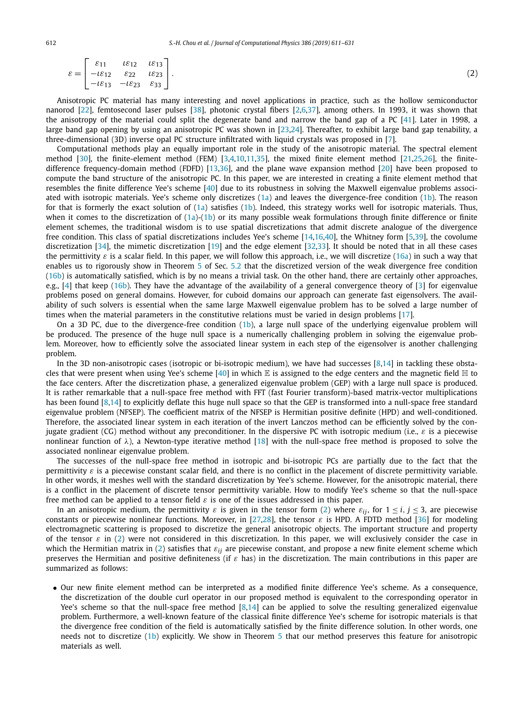Anisotropic PC material has many interesting and novel applications in practice, such as the hollow semiconductor nanorod [\[22\]](#page-19-0), femtosecond laser pulses [\[38\]](#page-20-0), photonic crystal fibers [\[2,6,](#page-19-0)[37\]](#page-20-0), among others. In 1993, it was shown that the anisotropy of the material could split the degenerate band and narrow the band gap of a PC [\[41\]](#page-20-0). Later in 1998, a large band gap opening by using an anisotropic PC was shown in [\[23,24\]](#page-19-0). Thereafter, to exhibit large band gap tenability, a three-dimensional (3D) inverse opal PC structure infiltrated with liquid crystals was proposed in [\[7\]](#page-19-0).

Computational methods play an equally important role in the study of the anisotropic material. The spectral element method [\[30\]](#page-19-0), the finite-element method (FEM) [\[3,4,10,11](#page-19-0)[,35\]](#page-20-0), the mixed finite element method [\[21,25,26\]](#page-19-0), the finitedifference frequency-domain method (FDFD) [\[13,](#page-19-0)[36\]](#page-20-0), and the plane wave expansion method [\[20\]](#page-19-0) have been proposed to compute the band structure of the anisotropic PC. In this paper, we are interested in creating a finite element method that resembles the finite difference Yee's scheme [\[40\]](#page-20-0) due to its robustness in solving the Maxwell eigenvalue problems associated with isotropic materials. Yee's scheme only discretizes  $(1a)$  and leaves the divergence-free condition  $(1b)$ . The reason for that is formerly the exact solution of  $(1a)$  satisfies  $(1b)$ . Indeed, this strategy works well for isotropic materials. Thus, when it comes to the discretization of  $(1a)-(1b)$  $(1a)-(1b)$  $(1a)-(1b)$  or its many possible weak formulations through finite difference or finite element schemes, the traditional wisdom is to use spatial discretizations that admit discrete analogue of the divergence free condition. This class of spatial discretizations includes Yee's scheme [\[14,16](#page-19-0)[,40\]](#page-20-0), the Whitney form [\[5,](#page-19-0)[39\]](#page-20-0), the covolume discretization [\[34\]](#page-20-0), the mimetic discretization [\[19\]](#page-19-0) and the edge element [\[32,33\]](#page-20-0). It should be noted that in all these cases the permittivity  $\varepsilon$  is a scalar field. In this paper, we will follow this approach, i.e., we will discretize [\(16a\)](#page-4-0) in such a way that enables us to rigorously show in Theorem [5](#page-15-0) of Sec. [5.2](#page-15-0) that the discretized version of the weak divergence free condition [\(16b\)](#page-4-0) is automatically satisfied, which is by no means a trivial task. On the other hand, there are certainly other approaches, e.g., [\[4\]](#page-19-0) that keep [\(16b\)](#page-4-0). They have the advantage of the availability of a general convergence theory of [\[3\]](#page-19-0) for eigenvalue problems posed on general domains. However, for cuboid domains our approach can generate fast eigensolvers. The availability of such solvers is essential when the same large Maxwell eigenvalue problem has to be solved a large number of times when the material parameters in the constitutive relations must be varied in design problems [\[17\]](#page-19-0).

On a 3D PC, due to the divergence-free condition [\(1b\)](#page-0-0), a large null space of the underlying eigenvalue problem will be produced. The presence of the huge null space is a numerically challenging problem in solving the eigenvalue problem. Moreover, how to efficiently solve the associated linear system in each step of the eigensolver is another challenging problem.

In the 3D non-anisotropic cases (isotropic or bi-isotropic medium), we have had successes [\[8,14\]](#page-19-0) in tackling these obsta-cles that were present when using Yee's scheme [\[40\]](#page-20-0) in which  $\mathbb E$  is assigned to the edge centers and the magnetic field  $\mathbb H$  to the face centers. After the discretization phase, a generalized eigenvalue problem (GEP) with a large null space is produced. It is rather remarkable that a null-space free method with FFT (fast Fourier transform)-based matrix-vector multiplications has been found [\[8,14\]](#page-19-0) to explicitly deflate this huge null space so that the GEP is transformed into a null-space free standard eigenvalue problem (NFSEP). The coefficient matrix of the NFSEP is Hermitian positive definite (HPD) and well-conditioned. Therefore, the associated linear system in each iteration of the invert Lanczos method can be efficiently solved by the conjugate gradient (CG) method without any preconditioner. In the dispersive PC with isotropic medium (i.e.,  $\varepsilon$  is a piecewise nonlinear function of *λ*), a Newton-type iterative method [\[18\]](#page-19-0) with the null-space free method is proposed to solve the associated nonlinear eigenvalue problem.

The successes of the null-space free method in isotropic and bi-isotropic PCs are partially due to the fact that the permittivity *ε* is a piecewise constant scalar field, and there is no conflict in the placement of discrete permittivity variable. In other words, it meshes well with the standard discretization by Yee's scheme. However, for the anisotropic material, there is a conflict in the placement of discrete tensor permittivity variable. How to modify Yee's scheme so that the null-space free method can be applied to a tensor field *ε* is one of the issues addressed in this paper.

In an anisotropic medium, the permittivity  $\varepsilon$  is given in the tensor form (2) where  $\varepsilon_{ij}$ , for  $1 \le i, j \le 3$ , are piecewise constants or piecewise nonlinear functions. Moreover, in [\[27,28\]](#page-19-0), the tensor  $\varepsilon$  is HPD. A FDTD method [\[36\]](#page-20-0) for modeling electromagnetic scattering is proposed to discretize the general anisotropic objects. The important structure and property of the tensor  $\varepsilon$  in (2) were not considered in this discretization. In this paper, we will exclusively consider the case in which the Hermitian matrix in (2) satisfies that *εij* are piecewise constant, and propose a new finite element scheme which preserves the Hermitian and positive definiteness (if *ε* has) in the discretization. The main contributions in this paper are summarized as follows:

• Our new finite element method can be interpreted as a modified finite difference Yee's scheme. As a consequence, the discretization of the double curl operator in our proposed method is equivalent to the corresponding operator in Yee's scheme so that the null-space free method [\[8,14\]](#page-19-0) can be applied to solve the resulting generalized eigenvalue problem. Furthermore, a well-known feature of the classical finite difference Yee's scheme for isotropic materials is that the divergence free condition of the field is automatically satisfied by the finite difference solution. In other words, one needs not to discretize [\(1b\)](#page-0-0) explicitly. We show in Theorem [5](#page-15-0) that our method preserves this feature for anisotropic materials as well.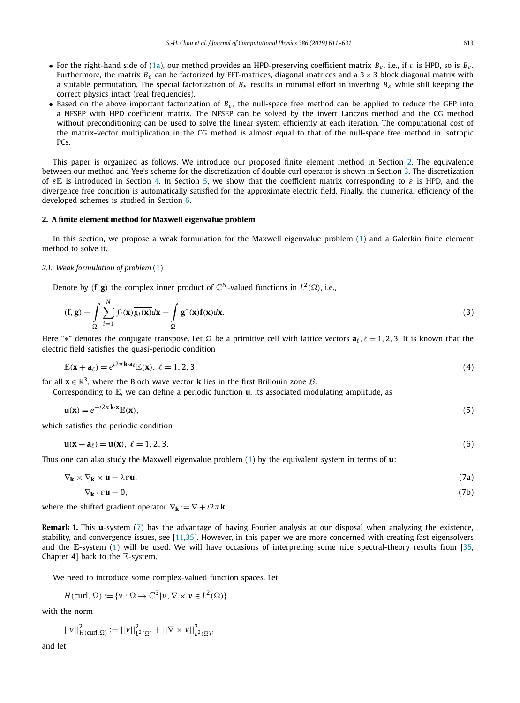- <span id="page-2-0"></span>• For the right-hand side of [\(1a\)](#page-0-0), our method provides an HPD-preserving coefficient matrix *Bε*, i.e., if *ε* is HPD, so is *Bε*. Furthermore, the matrix  $B_{\varepsilon}$  can be factorized by FFT-matrices, diagonal matrices and a  $3 \times 3$  block diagonal matrix with a suitable permutation. The special factorization of *Bε* results in minimal effort in inverting *Bε* while still keeping the correct physics intact (real frequencies).
- Based on the above important factorization of *Bε* , the null-space free method can be applied to reduce the GEP into a NFSEP with HPD coefficient matrix. The NFSEP can be solved by the invert Lanczos method and the CG method without preconditioning can be used to solve the linear system efficiently at each iteration. The computational cost of the matrix-vector multiplication in the CG method is almost equal to that of the null-space free method in isotropic PC<sub>s</sub>.

This paper is organized as follows. We introduce our proposed finite element method in Section 2. The equivalence between our method and Yee's scheme for the discretization of double-curl operator is shown in Section [3.](#page-7-0) The discretization of *ε*E is introduced in Section [4.](#page-10-0) In Section [5,](#page-13-0) we show that the coefficient matrix corresponding to *ε* is HPD, and the divergence free condition is automatically satisfied for the approximate electric field. Finally, the numerical efficiency of the developed schemes is studied in Section [6.](#page-16-0)

### **2. A finite element method for Maxwell eigenvalue problem**

In this section, we propose a weak formulation for the Maxwell eigenvalue problem [\(1\)](#page-0-0) and a Galerkin finite element method to solve it.

# *2.1. Weak formulation of problem* [\(1\)](#page-0-0)

Denote by (**f**, **g**) the complex inner product of  $\mathbb{C}^N$ -valued functions in  $L^2(\Omega)$ , i.e.,

$$
(\mathbf{f}, \mathbf{g}) = \int_{\Omega} \sum_{i=1}^{N} f_i(\mathbf{x}) \overline{g_i(\mathbf{x})} d\mathbf{x} = \int_{\Omega} \mathbf{g}^*(\mathbf{x}) \mathbf{f}(\mathbf{x}) d\mathbf{x}.
$$
 (3)

Here "\*" denotes the conjugate transpose. Let  $\Omega$  be a primitive cell with lattice vectors  $a_{\ell}, \ell = 1, 2, 3$ . It is known that the electric field satisfies the quasi-periodic condition

$$
\mathbb{E}(\mathbf{x} + \mathbf{a}_{\ell}) = e^{i2\pi \mathbf{k} \cdot \mathbf{a}_{\ell}} \mathbb{E}(\mathbf{x}), \ \ell = 1, 2, 3,
$$
\n<sup>(4)</sup>

for all  $\mathbf{x} \in \mathbb{R}^3$ , where the Bloch wave vector **k** lies in the first Brillouin zone *B*.

Corresponding to E, we can define a periodic function **u**, its associated modulating amplitude, as

$$
\mathbf{u}(\mathbf{x}) = e^{-i2\pi \mathbf{k} \cdot \mathbf{x}} \mathbb{E}(\mathbf{x}),\tag{5}
$$

which satisfies the periodic condition

$$
\mathbf{u}(\mathbf{x} + \mathbf{a}_{\ell}) = \mathbf{u}(\mathbf{x}), \ \ell = 1, 2, 3. \tag{6}
$$

Thus one can also study the Maxwell eigenvalue problem [\(1\)](#page-0-0) by the equivalent system in terms of **u**:

$$
\nabla_{\mathbf{k}} \times \nabla_{\mathbf{k}} \times \mathbf{u} = \lambda \varepsilon \mathbf{u},\tag{7a}
$$

$$
\nabla_{\mathbf{k}} \cdot \varepsilon \mathbf{u} = 0,\tag{7b}
$$

where the shifted gradient operator  $\nabla_{\bf k} := \nabla + i2\pi {\bf k}$ .

**Remark 1.** This **u**-system (7) has the advantage of having Fourier analysis at our disposal when analyzing the existence, stability, and convergence issues, see [\[11](#page-19-0)[,35\]](#page-20-0). However, in this paper we are more concerned with creating fast eigensolvers and the E-system  $(1)$  will be used. We will have occasions of interpreting some nice spectral-theory results from [\[35,](#page-20-0) Chapter 4] back to the E-system.

We need to introduce some complex-valued function spaces. Let

$$
H(\text{curl}, \Omega) := \{v : \Omega \to \mathbb{C}^3 | v, \nabla \times v \in L^2(\Omega) \}
$$

with the norm

$$
||v||_{H(\text{curl},\Omega)}^2 := ||v||_{L^2(\Omega)}^2 + ||\nabla \times v||_{L^2(\Omega)}^2,
$$

and let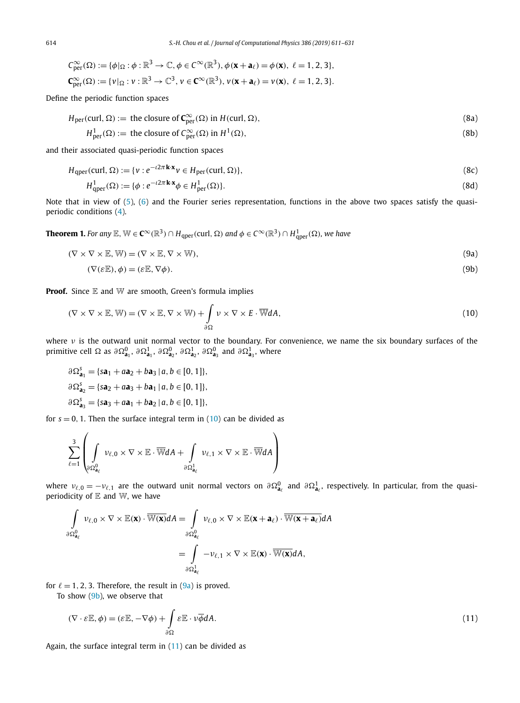<span id="page-3-0"></span>
$$
C^{\infty}_{\text{per}}(\Omega) := \{ \phi|_{\Omega} : \phi : \mathbb{R}^3 \to \mathbb{C}, \phi \in C^{\infty}(\mathbb{R}^3), \phi(\mathbf{x} + \mathbf{a}_{\ell}) = \phi(\mathbf{x}), \ \ell = 1, 2, 3 \},
$$
  

$$
C^{\infty}_{\text{per}}(\Omega) := \{ v|_{\Omega} : v : \mathbb{R}^3 \to \mathbb{C}^3, \ v \in C^{\infty}(\mathbb{R}^3), \ v(\mathbf{x} + \mathbf{a}_{\ell}) = v(\mathbf{x}), \ \ell = 1, 2, 3 \}.
$$

Define the periodic function spaces

$$
H_{\text{per}}(\text{curl}, \Omega) := \text{ the closure of } \mathbb{C}_{\text{per}}^{\infty}(\Omega) \text{ in } H(\text{curl}, \Omega),
$$
\n
$$
H_{\text{per}}^1(\Omega) := \text{ the closure of } \mathbb{C}_{\text{per}}^{\infty}(\Omega) \text{ in } H^1(\Omega),
$$
\n(8b)

and their associated quasi-periodic function spaces

$$
H_{\text{aper}}(\text{curl}, \Omega) := \{v : e^{-\iota 2\pi \mathbf{k} \cdot \mathbf{x}} v \in H_{\text{per}}(\text{curl}, \Omega)\},\tag{8c}
$$

$$
H_{\text{qper}}^1(\Omega) := \{ \phi : e^{-\iota 2\pi \mathbf{k} \cdot \mathbf{x}} \phi \in H_{\text{per}}^1(\Omega) \}. \tag{8d}
$$

Note that in view of [\(5\)](#page-2-0), [\(6\)](#page-2-0) and the Fourier series representation, functions in the above two spaces satisfy the quasiperiodic conditions [\(4\)](#page-2-0).

**Theorem 1.** For any  $\mathbb{E}$ ,  $\mathbb{W} \in \mathbf{C}^{\infty}(\mathbb{R}^3)\cap H_{\text{qper}}(\text{curl},\,\Omega)$  and  $\phi\in C^{\infty}(\mathbb{R}^3)\cap H_{\text{qper}}^1(\Omega)$ , we have

$$
(\nabla \times \nabla \times \mathbb{E}, \mathbb{W}) = (\nabla \times \mathbb{E}, \nabla \times \mathbb{W}),
$$
\n(9a)

$$
(\nabla(\varepsilon \mathbb{E}), \phi) = (\varepsilon \mathbb{E}, \nabla \phi). \tag{9b}
$$

**Proof.** Since E and W are smooth, Green's formula implies

$$
(\nabla \times \nabla \times \mathbb{E}, \mathbb{W}) = (\nabla \times \mathbb{E}, \nabla \times \mathbb{W}) + \int_{\partial \Omega} \nu \times \nabla \times E \cdot \overline{\mathbb{W}} dA, \qquad (10)
$$

where *ν* is the outward unit normal vector to the boundary. For convenience, we name the six boundary surfaces of the primitive cell  $\Omega$  as  $\partial \Omega_{a_1}^0$ ,  $\partial \Omega_{a_1}^1$ ,  $\partial \Omega_{a_2}^0$ ,  $\partial \Omega_{a_2}^1$ ,  $\partial \Omega_{a_3}^0$  and  $\partial \Omega_{a_3}^1$ , where

$$
\partial \Omega_{\mathbf{a}_1}^s = \{ s\mathbf{a}_1 + a\mathbf{a}_2 + b\mathbf{a}_3 \mid a, b \in [0, 1] \},
$$
  

$$
\partial \Omega_{\mathbf{a}_2}^s = \{ s\mathbf{a}_2 + a\mathbf{a}_3 + b\mathbf{a}_1 \mid a, b \in [0, 1] \},
$$
  

$$
\partial \Omega_{\mathbf{a}_3}^s = \{ s\mathbf{a}_3 + a\mathbf{a}_1 + b\mathbf{a}_2 \mid a, b \in [0, 1] \},
$$

for  $s = 0$ , 1. Then the surface integral term in  $(10)$  can be divided as

$$
\sum_{\ell=1}^3 \left( \int\limits_{\partial \Omega_{\mathbf{a}_\ell}^0} \nu_{\ell,0} \times \nabla \times \mathbb{E} \cdot \overline{\mathbb{W}} dA + \int\limits_{\partial \Omega_{\mathbf{a}_\ell}^1} \nu_{\ell,1} \times \nabla \times \mathbb{E} \cdot \overline{\mathbb{W}} dA \right)
$$

where  $v_{\ell,0} = -v_{\ell,1}$  are the outward unit normal vectors on  $\partial \Omega_{a_\ell}^0$  and  $\partial \Omega_{a_\ell}^1$ , respectively. In particular, from the quasiperiodicity of  $E$  and  $W$ , we have

$$
\int_{\partial \Omega_{\mathbf{a}_{\ell}}^{0}} \nu_{\ell,0} \times \nabla \times \mathbb{E}(\mathbf{x}) \cdot \overline{\mathbb{W}(\mathbf{x})} dA = \int_{\partial \Omega_{\mathbf{a}_{\ell}}^{0}} \nu_{\ell,0} \times \nabla \times \mathbb{E}(\mathbf{x} + \mathbf{a}_{\ell}) \cdot \overline{\mathbb{W}(\mathbf{x} + \mathbf{a}_{\ell})} dA
$$
\n
$$
= \int_{\partial \Omega_{\mathbf{a}_{\ell}}^{1}} -\nu_{\ell,1} \times \nabla \times \mathbb{E}(\mathbf{x}) \cdot \overline{\mathbb{W}(\mathbf{x})} dA,
$$

for  $\ell = 1, 2, 3$ . Therefore, the result in  $(9a)$  is proved.

To show (9b), we observe that

$$
(\nabla \cdot \varepsilon \mathbb{E}, \phi) = (\varepsilon \mathbb{E}, -\nabla \phi) + \int_{\partial \Omega} \varepsilon \mathbb{E} \cdot \nu \overline{\phi} dA.
$$
 (11)

Again, the surface integral term in (11) can be divided as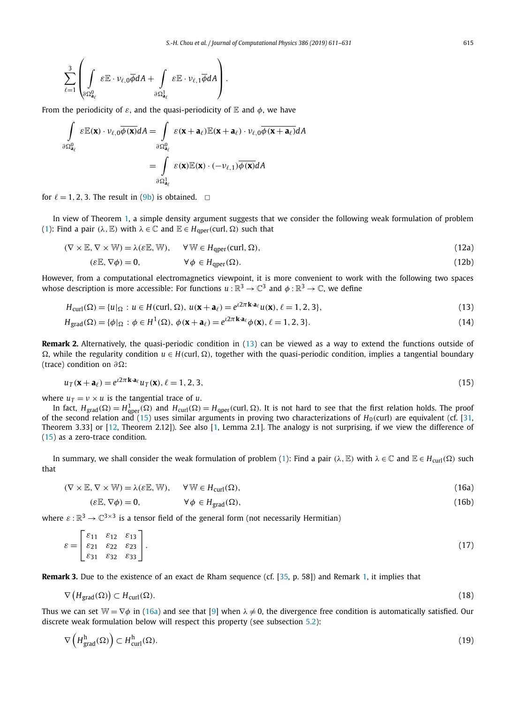<span id="page-4-0"></span>
$$
\sum_{\ell=1}^3 \left( \int\limits_{\partial \Omega_{\mathbf{a}_\ell}^0} \varepsilon \mathbb{E} \cdot \nu_{\ell,0} \overline{\phi} dA + \int\limits_{\partial \Omega_{\mathbf{a}_\ell}^1} \varepsilon \mathbb{E} \cdot \nu_{\ell,1} \overline{\phi} dA \right).
$$

 $\lambda$ 

From the periodicity of  $\varepsilon$ , and the quasi-periodicity of  $\mathbb E$  and  $\phi$ , we have

$$
\int_{\partial \Omega_{\mathbf{a}_{\ell}}^0} \varepsilon \mathbb{E}(\mathbf{x}) \cdot \nu_{\ell,0} \overline{\phi(\mathbf{x})} dA = \int_{\partial \Omega_{\mathbf{a}_{\ell}}^0} \varepsilon (\mathbf{x} + \mathbf{a}_{\ell}) \mathbb{E}(\mathbf{x} + \mathbf{a}_{\ell}) \cdot \nu_{\ell,0} \overline{\phi(\mathbf{x} + \mathbf{a}_{\ell})} dA
$$
\n
$$
= \int_{\partial \Omega_{\mathbf{a}_{\ell}}^1} \varepsilon(\mathbf{x}) \mathbb{E}(\mathbf{x}) \cdot (-\nu_{\ell,1}) \overline{\phi(\mathbf{x})} dA
$$

for  $\ell = 1, 2, 3$ . The result in [\(9b\)](#page-3-0) is obtained.  $\Box$ 

In view of Theorem [1,](#page-3-0) a simple density argument suggests that we consider the following weak formulation of problem [\(1\)](#page-0-0): Find a pair  $(\lambda, \mathbb{E})$  with  $\lambda \in \mathbb{C}$  and  $\mathbb{E} \in H_{\text{aper}}(\text{curl}, \Omega)$  such that

$$
(\nabla \times \mathbb{E}, \nabla \times \mathbb{W}) = \lambda(\varepsilon \mathbb{E}, \mathbb{W}), \quad \forall \mathbb{W} \in H_{\text{qper}}(\text{curl}, \Omega), \tag{12a}
$$

$$
(\varepsilon \mathbb{E}, \nabla \phi) = 0, \qquad \forall \phi \in H_{\text{aper}}(\Omega). \tag{12b}
$$

However, from a computational electromagnetics viewpoint, it is more convenient to work with the following two spaces whose description is more accessible: For functions  $u : \mathbb{R}^3 \to \mathbb{C}^3$  and  $\phi : \mathbb{R}^3 \to \mathbb{C}$ , we define

$$
H_{\text{curl}}(\Omega) = \{u|_{\Omega} : u \in H(\text{curl}, \Omega), u(\mathbf{x} + \mathbf{a}_{\ell}) = e^{i2\pi \mathbf{k} \cdot \mathbf{a}_{\ell}} u(\mathbf{x}), \ell = 1, 2, 3\},\tag{13}
$$

$$
H_{\text{grad}}(\Omega) = \{ \phi |_{\Omega} : \phi \in H^{1}(\Omega), \phi(\mathbf{x} + \mathbf{a}_{\ell}) = e^{i2\pi \mathbf{k} \cdot \mathbf{a}_{\ell}} \phi(\mathbf{x}), \ell = 1, 2, 3 \}.
$$
\n(14)

**Remark 2.** Alternatively, the quasi-periodic condition in (13) can be viewed as a way to extend the functions outside of  $\Omega$ , while the regularity condition  $u \in H$ (curl,  $\Omega$ ), together with the quasi-periodic condition, implies a tangential boundary (trace) condition on *∂*:

$$
u_T(\mathbf{x} + \mathbf{a}_\ell) = e^{i2\pi \mathbf{k} \cdot \mathbf{a}_\ell} u_T(\mathbf{x}), \ell = 1, 2, 3,
$$
\n(15)

where  $u_T = v \times u$  is the tangential trace of *u*.

 $\mathcal{L}$ 

 $\sim$   $\infty$ 

In fact,  $H_{\text{grad}}(\Omega) = H_{\text{qper}}^1(\Omega)$  and  $H_{\text{curl}}(\Omega) = H_{\text{qper}}(\text{curl},\Omega)$ . It is not hard to see that the first relation holds. The proof of the second relation and (15) uses similar arguments in proving two characterizations of  $H_0$ (curl) are equivalent (cf. [\[31,](#page-20-0) Theorem 3.33] or [\[12,](#page-19-0) Theorem 2.12]). See also [\[1,](#page-19-0) Lemma 2.1]. The analogy is not surprising, if we view the difference of (15) as a zero-trace condition.

In summary, we shall consider the weak formulation of problem [\(1\)](#page-0-0): Find a pair (λ, E) with  $λ ∈ C$  and  $E ∈ H<sub>curl</sub>(Ω)$  such that

$$
(\nabla \times \mathbb{E}, \nabla \times \mathbb{W}) = \lambda(\varepsilon \mathbb{E}, \mathbb{W}), \quad \forall \mathbb{W} \in H_{\text{curl}}(\Omega), \tag{16a}
$$

$$
(\varepsilon \mathbb{E}, \nabla \phi) = 0, \qquad \forall \phi \in H_{\text{grad}}(\Omega), \tag{16b}
$$

where  $\varepsilon : \mathbb{R}^3 \to \mathbb{C}^{3 \times 3}$  is a tensor field of the general form (not necessarily Hermitian)

$$
\varepsilon = \begin{bmatrix} \varepsilon_{11} & \varepsilon_{12} & \varepsilon_{13} \\ \varepsilon_{21} & \varepsilon_{22} & \varepsilon_{23} \\ \varepsilon_{31} & \varepsilon_{32} & \varepsilon_{33} \end{bmatrix} . \tag{17}
$$

**Remark 3.** Due to the existence of an exact de Rham sequence (cf. [\[35,](#page-20-0) p. 58]) and Remark [1,](#page-2-0) it implies that

$$
\nabla \left( H_{\text{grad}}(\Omega) \right) \subset H_{\text{curl}}(\Omega). \tag{18}
$$

Thus we can set  $\mathbb{W} = \nabla \phi$  in (16a) and see that [\[9\]](#page-19-0) when  $\lambda \neq 0$ , the divergence free condition is automatically satisfied. Our discrete weak formulation below will respect this property (see subsection [5.2\)](#page-15-0):

$$
\nabla \left( H_{\text{grad}}^{\text{h}}(\Omega) \right) \subset H_{\text{curl}}^{\text{h}}(\Omega). \tag{19}
$$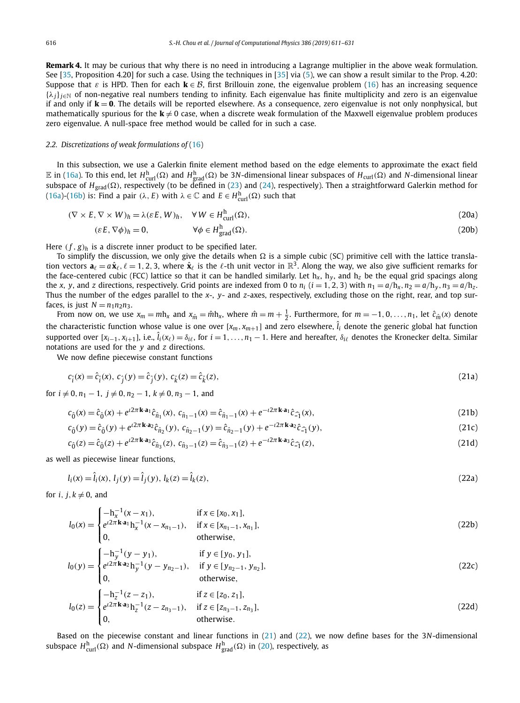<span id="page-5-0"></span>**Remark 4.** It may be curious that why there is no need in introducing a Lagrange multiplier in the above weak formulation. See [\[35,](#page-20-0) Proposition 4.20] for such a case. Using the techniques in [\[35\]](#page-20-0) via [\(5\)](#page-2-0), we can show a result similar to the Prop. 4.20: Suppose that  $\varepsilon$  is HPD. Then for each  $\mathbf{k} \in \mathcal{B}$ , first Brillouin zone, the eigenvalue problem [\(16\)](#page-4-0) has an increasing sequence {*λj*}*j*∈<sup>N</sup> of non-negative real numbers tending to infinity. Each eigenvalue has finite multiplicity and zero is an eigenvalue if and only if  $k = 0$ . The details will be reported elsewhere. As a consequence, zero eigenvalue is not only nonphysical, but mathematically spurious for the  $k \neq 0$  case, when a discrete weak formulation of the Maxwell eigenvalue problem produces zero eigenvalue. A null-space free method would be called for in such a case.

#### *2.2. Discretizations of weak formulations of* [\(16\)](#page-4-0)

In this subsection, we use a Galerkin finite element method based on the edge elements to approximate the exact field  $\mathbb E$  in [\(16a\)](#page-4-0). To this end, let  $H^{\text{h}}_{\text{curl}}(\Omega)$  and  $H^{\text{h}}_{\text{grad}}(\Omega)$  be 3*N*-dimensional linear subspaces of  $H_{\text{curl}}(\Omega)$  and *N*-dimensional linear subspace of *H<sub>grad</sub>(*Ω), respectively (to be defined in [\(23\)](#page-6-0) and [\(24\)](#page-6-0), respectively). Then a straightforward Galerkin method for [\(16a\)](#page-4-0)-[\(16b\)](#page-4-0) is: Find a pair  $(\lambda, E)$  with  $\lambda \in \mathbb{C}$  and  $E \in H^{\text{h}}_{\text{curl}}(\Omega)$  such that

$$
(\nabla \times E, \nabla \times W)_h = \lambda (\varepsilon E, W)_h, \quad \forall \, W \in H^h_{\text{curl}}(\Omega), \tag{20a}
$$

$$
(\varepsilon E, \nabla \phi)_h = 0, \qquad \forall \phi \in H^h_{\text{grad}}(\Omega). \tag{20b}
$$

Here  $(f, g)$ <sup>*h*</sup> is a discrete inner product to be specified later.

To simplify the discussion, we only give the details when  $\Omega$  is a simple cubic (SC) primitive cell with the lattice translation vectors  $\mathbf{a}_\ell = a\hat{\mathbf{x}}_\ell, \ell = 1, 2, 3$ , where  $\hat{\mathbf{x}}_\ell$  is the  $\ell$ -th unit vector in  $\mathbb{R}^3$ . Along the way, we also give sufficient remarks for the face-centered cubic (FCC) lattice so that it can be handled similarly. Let  $h_x$ ,  $h_y$ , and  $h_z$  be the equal grid spacings along the x, y, and z directions, respectively. Grid points are indexed from 0 to  $n_i$  ( $i = 1, 2, 3$ ) with  $n_1 = a/h_x$ ,  $n_2 = a/h_y$ ,  $n_3 = a/h_z$ . Thus the number of the edges parallel to the *x*-, *y*- and *z*-axes, respectively, excluding those on the right, rear, and top surfaces, is just  $N = n_1 n_2 n_3$ .

From now on, we use  $x_m = mh_x$  and  $x_{\hat{m}} = \hat{m}h_x$ , where  $\hat{m} = m + \frac{1}{2}$ . Furthermore, for  $m = -1, 0, ..., n_1$ , let  $\hat{c}_{\hat{m}}(x)$  denote the characteristic function whose value is one over [x<sub>m</sub>, x<sub>m+1</sub>] and zero elsewhere,  $\hat{l}_i$  denote the generic global hat function supported over [ $x_{i-1},x_{i+1}$ ], i.e.,  $\hat{l}_i(x_\ell)=\delta_{i\ell}$ , for  $i=1,\ldots,n_1-1.$  Here and hereafter,  $\delta_{i\ell}$  denotes the Kronecker delta. Similar notations are used for the *y* and *z* directions.

We now define piecewise constant functions

$$
c_{\hat{i}}(x) = \hat{c}_{\hat{i}}(x), \ c_{\hat{j}}(y) = \hat{c}_{\hat{j}}(y), \ c_{\hat{k}}(z) = \hat{c}_{\hat{k}}(z), \tag{21a}
$$

for  $i \neq 0, n_1 - 1, j \neq 0, n_2 - 1, k \neq 0, n_3 - 1$ , and

$$
c_{\hat{0}}(x) = \hat{c}_{\hat{0}}(x) + e^{i2\pi \mathbf{k} \cdot \mathbf{a}_1} \hat{c}_{\hat{n}_1}(x), \ c_{\hat{n}_1 - 1}(x) = \hat{c}_{\hat{n}_1 - 1}(x) + e^{-i2\pi \mathbf{k} \cdot \mathbf{a}_1} \hat{c}_{\hat{-1}}(x), \tag{21b}
$$

$$
c_{\hat{0}}(y) = \hat{c}_{\hat{0}}(y) + e^{i2\pi \mathbf{k} \cdot \mathbf{a}_2} \hat{c}_{\hat{n}_2}(y), \ c_{\hat{n}_2 - 1}(y) = \hat{c}_{\hat{n}_2 - 1}(y) + e^{-i2\pi \mathbf{k} \cdot \mathbf{a}_2} \hat{c}_{\hat{-1}}(y), \tag{21c}
$$

$$
c_{\hat{0}}(z) = \hat{c}_{\hat{0}}(z) + e^{i2\pi \mathbf{k} \cdot \mathbf{a}_3} \hat{c}_{\hat{n}_3}(z), \ c_{\hat{n}_3 - 1}(z) = \hat{c}_{\hat{n}_3 - 1}(z) + e^{-i2\pi \mathbf{k} \cdot \mathbf{a}_3} \hat{c}_{\hat{1}}(z), \tag{21d}
$$

as well as piecewise linear functions,

$$
l_i(x) = \hat{l}_i(x), l_j(y) = \hat{l}_j(y), l_k(z) = \hat{l}_k(z),
$$
\n(22a)

for *i*,  $j, k \neq 0$ , and

$$
l_0(x) = \begin{cases} -h_x^{-1}(x - x_1), & \text{if } x \in [x_0, x_1], \\ e^{i2\pi \mathbf{k} \cdot \mathbf{a}_1} h_x^{-1}(x - x_{n_1 - 1}), & \text{if } x \in [x_{n_1 - 1}, x_{n_1}], \\ 0, & \text{otherwise,} \end{cases}
$$
(22b)

0*,* otherwise*,*

$$
l_0(y) = \begin{cases} -h_y^{-1}(y - y_1), & \text{if } y \in [y_0, y_1], \\ e^{i2\pi \mathbf{k} \cdot \mathbf{a}_2} h_y^{-1}(y - y_{n_2 - 1}), & \text{if } y \in [y_{n_2 - 1}, y_{n_2}], \end{cases}
$$
(22c)

$$
l_0(z) = \begin{cases}\n- h_2^{-1}(z - z_1), & \text{if } z \in [z_0, z_1], \\
e^{i2\pi \mathbf{k} \cdot \mathbf{a}_3} h_2^{-1}(z - z_{n_3 - 1}), & \text{if } z \in [z_{n_3 - 1}, z_{n_3}], \\
0, & \text{otherwise.} \n\end{cases}
$$
\n(22d)

Based on the piecewise constant and linear functions in (21) and (22), we now define bases for the 3*N*-dimensional subspace  $H_{\text{curl}}^{\text{h}}(\Omega)$  and *N*-dimensional subspace  $H_{\text{grad}}^{\text{h}}(\Omega)$  in (20), respectively, as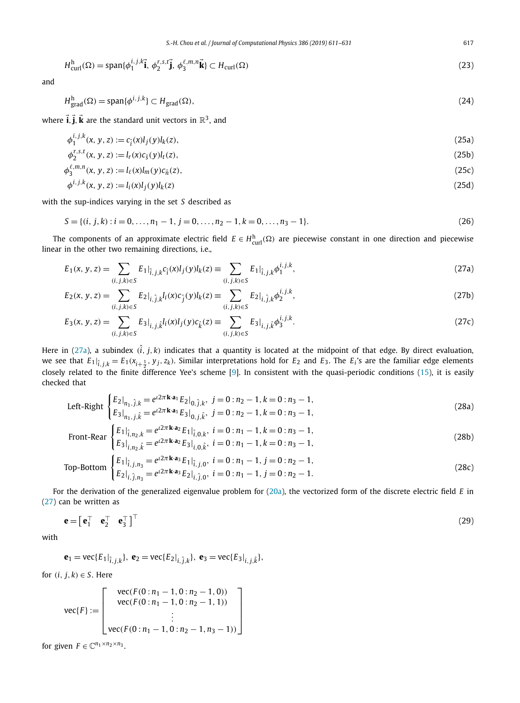<span id="page-6-0"></span>
$$
H_{\text{curl}}^{\text{h}}(\Omega) = \text{span}\{\phi_1^{i,j,k}\vec{\mathbf{i}}, \ \phi_2^{r,s,t}\vec{\mathbf{j}}, \ \phi_3^{\ell,m,n}\vec{\mathbf{k}}\} \subset H_{\text{curl}}(\Omega)
$$
\n(23)

and

$$
H_{\text{grad}}^{h}(\Omega) = \text{span}\{\phi^{i,j,k}\} \subset H_{\text{grad}}(\Omega),\tag{24}
$$

where  $\vec{i}$ ,  $\vec{j}$ ,  $\vec{k}$  are the standard unit vectors in  $\mathbb{R}^3$ , and

$$
\phi_1^{i,j,k}(x, y, z) := c_{\hat{i}}(x)l_j(y)l_k(z),\tag{25a}
$$

$$
\phi_2^{r,s,t}(x, y, z) := l_r(x)c_{\hat{S}}(y)l_t(z),\tag{25b}
$$

$$
\phi_3^{\ell,m,n}(x,y,z) := l_{\ell}(x)l_m(y)c_{\hat{n}}(z),\tag{25c}
$$

$$
\phi^{i,j,k}(x, y, z) := l_i(x)l_j(y)l_k(z)
$$
\n(25d)

with the sup-indices varying in the set *S* described as

$$
S = \{(i, j, k) : i = 0, \dots, n_1 - 1, j = 0, \dots, n_2 - 1, k = 0, \dots, n_3 - 1\}.
$$
\n(26)

The components of an approximate electric field  $E \in H^h_{\text{curl}}(\Omega)$  are piecewise constant in one direction and piecewise linear in the other two remaining directions, i.e.,

$$
E_1(x, y, z) = \sum_{(i, j, k) \in S} E_1|_{\hat{i}, j, k} c_{\hat{i}}(x) l_j(y) l_k(z) \equiv \sum_{(i, j, k) \in S} E_1|_{\hat{i}, j, k} \phi_1^{i, j, k}, \tag{27a}
$$

$$
E_2(x, y, z) = \sum_{(i, j, k) \in S} E_2|_{i, \hat{j}, k} l_i(x) c_{\hat{j}}(y) l_k(z) = \sum_{(i, j, k) \in S} E_2|_{i, \hat{j}, k} \phi_2^{i, j, k},
$$
\n(27b)

$$
E_3(x, y, z) = \sum_{(i, j, k) \in S} E_3|_{i, j, \hat{k}} l_i(x)l_j(y)c_{\hat{k}}(z) \equiv \sum_{(i, j, k) \in S} E_3|_{i, j, \hat{k}} \phi_3^{i, j, k}.
$$
 (27c)

Here in (27a), a subindex  $(\hat{i}, j, k)$  indicates that a quantity is located at the midpoint of that edge. By direct evaluation, we see that  $E_1|_{\hat{i},j,k} = E_1(x_{i+\frac{1}{2}},y_j,z_k)$ . Similar interpretations hold for  $E_2$  and  $E_3$ . The  $E_i$ 's are the familiar edge elements closely related to the finite difference Yee's scheme [\[9\]](#page-19-0). In consistent with the quasi-periodic conditions [\(15\)](#page-4-0), it is easily checked that

Left-Right 
$$
\begin{cases} E_2|_{n_1,\hat{j},k} = e^{i2\pi \mathbf{k} \cdot \mathbf{a}_1} E_2|_{0,\hat{j},k}, \ j = 0: n_2 - 1, k = 0: n_3 - 1, \\ E_3|_{n_1,j,\hat{k}} = e^{i2\pi \mathbf{k} \cdot \mathbf{a}_1} E_3|_{0,\hat{j},\hat{k}}, \ j = 0: n_2 - 1, k = 0: n_3 - 1, \end{cases}
$$
 (28a)

$$
\text{Front-Rear} \begin{cases} E_1 \big|_{\hat{i}, n_2, k} = e^{i2\pi \mathbf{k} \cdot \mathbf{a}_2} E_1 \big|_{\hat{i}, 0, k}, \ i = 0 : n_1 - 1, k = 0 : n_3 - 1, \\ E_3 \big|_{i, n_2, \hat{k}} = e^{i2\pi \mathbf{k} \cdot \mathbf{a}_2} E_3 \big|_{i, 0, \hat{k}}, \ i = 0 : n_1 - 1, k = 0 : n_3 - 1, \end{cases} \tag{28b}
$$

Top-Bottom 
$$
\begin{cases} E_1|_{\hat{i},j,n_3} = e^{i2\pi \mathbf{k} \cdot \mathbf{a}_3} E_1|_{\hat{i},j,0}, i = 0: n_1 - 1, j = 0: n_2 - 1, \\ E_2|_{i,\hat{j},n_3} = e^{i2\pi \mathbf{k} \cdot \mathbf{a}_3} E_2|_{i,\hat{j},0}, i = 0: n_1 - 1, j = 0: n_2 - 1. \end{cases}
$$
(28c)

For the derivation of the generalized eigenvalue problem for [\(20a\)](#page-5-0), the vectorized form of the discrete electric field *E* in (27) can be written as

$$
\mathbf{e} = \begin{bmatrix} \mathbf{e}_1^\top & \mathbf{e}_2^\top & \mathbf{e}_3^\top \end{bmatrix}^\top
$$
 (29)

with

$$
\mathbf{e}_1 = \text{vec}\{E_1|_{\hat{i},j,k}\}, \ \mathbf{e}_2 = \text{vec}\{E_2|_{i,\hat{j},k}\}, \ \mathbf{e}_3 = \text{vec}\{E_3|_{i,j,\hat{k}}\},
$$

for  $(i, j, k) \in S$ . Here

$$
\text{vec}\{F\} := \left[\begin{array}{c} \text{vec}(F(0:n_1-1, 0:n_2-1, 0)) \\ \text{vec}(F(0:n_1-1, 0:n_2-1, 1)) \\ \vdots \\ \text{vec}(F(0:n_1-1, 0:n_2-1, n_3-1)) \end{array}\right]
$$

for given  $F \in \mathbb{C}^{n_1 \times n_2 \times n_3}$ .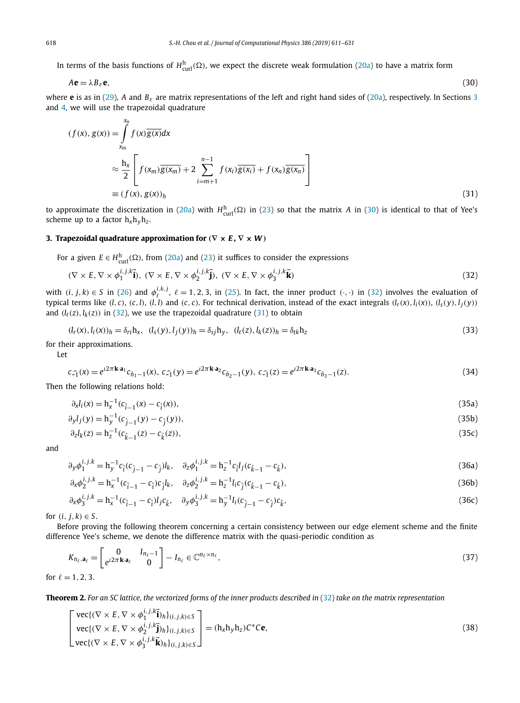<span id="page-7-0"></span>In terms of the basis functions of  $H^{\text{h}}_{\text{curl}}(\Omega)$ , we expect the discrete weak formulation [\(20a\)](#page-5-0) to have a matrix form

$$
A\mathbf{e} = \lambda B_{\varepsilon}\mathbf{e},\tag{30}
$$

where **e** is as in [\(29\)](#page-6-0), *A* and  $B_{\varepsilon}$  are matrix representations of the left and right hand sides of [\(20a\)](#page-5-0), respectively. In Sections 3 and [4,](#page-10-0) we will use the trapezoidal quadrature

$$
(f(x), g(x)) = \int_{x_m}^{n} f(x) \overline{g(x)} dx
$$
  
\n
$$
\approx \frac{h_x}{2} \left[ f(x_m) \overline{g(x_m)} + 2 \sum_{i=m+1}^{n-1} f(x_i) \overline{g(x_i)} + f(x_n) \overline{g(x_n)} \right]
$$
  
\n
$$
\equiv (f(x), g(x))_h
$$
\n(31)

to approximate the discretization in [\(20a\)](#page-5-0) with  $H_{\text{curl}}^{\text{h}}(\Omega)$  in [\(23\)](#page-6-0) so that the matrix *A* in (30) is identical to that of Yee's scheme up to a factor  $h_x h_y h_z$ .

# **3. Trapezoidal quadrature approximation for**  $(\nabla \times \mathbf{E}, \nabla \times \mathbf{W})$

*xn*

For a given  $E \in H^{\text{h}}_{\text{curl}}(\Omega)$ , from [\(20a\)](#page-5-0) and [\(23\)](#page-6-0) it suffices to consider the expressions

$$
(\nabla \times E, \nabla \times \phi_1^{i,j,k} \vec{\mathbf{i}}), (\nabla \times E, \nabla \times \phi_2^{i,j,k} \vec{\mathbf{j}}), (\nabla \times E, \nabla \times \phi_3^{i,j,k} \vec{\mathbf{k}}) \tag{32}
$$

with  $(i, j, k) \in S$  in [\(26\)](#page-6-0) and  $\phi_{\ell}^{i, k, j}$ ,  $\ell = 1, 2, 3$ , in [\(25\)](#page-6-0). In fact, the inner product  $(\cdot, \cdot)$  in (32) involves the evaluation of typical terms like  $(l, c)$ ,  $(c, l)$ ,  $(l, l)$  and  $(c, c)$ . For technical derivation, instead of the exact integrals  $(l_r(x), l_i(x)), (l_s(y), l_j(y))$ and  $(l_t(z), l_k(z))$  in (32), we use the trapezoidal quadrature (31) to obtain

$$
(l_r(x), l_i(x))_h = \delta_{ri} h_x, \ (l_s(y), l_j(y))_h = \delta_{sj} h_y, \ (l_t(z), l_k(z))_h = \delta_{tk} h_z
$$
\n(33)

for their approximations.

Let

$$
c_{\hat{-1}}(x) = e^{i2\pi \mathbf{k} \cdot \mathbf{a}_1} c_{\hat{n}_1 - 1}(x), \ c_{\hat{-1}}(y) = e^{i2\pi \mathbf{k} \cdot \mathbf{a}_2} c_{\hat{n}_2 - 1}(y), \ c_{\hat{-1}}(z) = e^{i2\pi \mathbf{k} \cdot \mathbf{a}_3} c_{\hat{n}_3 - 1}(z).
$$
\n(34)

Then the following relations hold:

$$
\partial_x l_i(x) = h_x^{-1}(c_{\hat{i}-1}(x) - c_{\hat{i}}(x)),\tag{35a}
$$

$$
\partial_y l_j(y) = h_y^{-1}(c_{\hat{j}-1}(y) - c_{\hat{j}}(y)),\tag{35b}
$$

$$
\partial_z l_k(z) = h_z^{-1} (c_{\hat{k}-1}(z) - c_{\hat{k}}(z)),\tag{35c}
$$

and

$$
\partial_y \phi_1^{i,j,k} = h_y^{-1} c_{\hat{i}} (c_{\hat{j}-1} - c_{\hat{j}}) l_k, \quad \partial_z \phi_1^{i,j,k} = h_z^{-1} c_{\hat{i}} l_j (c_{\hat{k}-1} - c_{\hat{k}}), \tag{36a}
$$

$$
\partial_x \phi_2^{i,j,k} = h_x^{-1} (c_{\hat{i}-1} - c_{\hat{i}}) c_{\hat{j}} l_k, \quad \partial_z \phi_2^{i,j,k} = h_z^{-1} l_i c_{\hat{j}} (c_{\hat{k}-1} - c_{\hat{k}}), \tag{36b}
$$

$$
\partial_x \phi_3^{i,j,k} = h_x^{-1} (c_{\hat{i}-1} - c_{\hat{i}}) l_j c_{\hat{k}}, \quad \partial_y \phi_3^{i,j,k} = h_y^{-1} l_i (c_{\hat{j}-1} - c_{\hat{j}}) c_{\hat{k}}, \tag{36c}
$$

*for*  $(i, j, k) \in S$ .

Before proving the following theorem concerning a certain consistency between our edge element scheme and the finite difference Yee's scheme, we denote the difference matrix with the quasi-periodic condition as

$$
K_{n_{\ell},\mathbf{a}_{\ell}} = \begin{bmatrix} 0 & I_{n_{\ell}-1} \\ e^{i2\pi \mathbf{k} \cdot \mathbf{a}_{\ell}} & 0 \end{bmatrix} - I_{n_{\ell}} \in \mathbb{C}^{n_{\ell} \times n_{\ell}},
$$
(37)

for  $\ell = 1, 2, 3$ .

Theorem 2. For an SC lattice, the vectorized forms of the inner products described in (32) take on the matrix representation

$$
\begin{bmatrix}\n\text{vec}\{(\nabla \times E, \nabla \times \phi_1^{i,j,k}\mathbf{i})_h\}_{(i,j,k)\in S} \\
\text{vec}\{(\nabla \times E, \nabla \times \phi_2^{i,j,k}\mathbf{i})_h\}_{(i,j,k)\in S}\n\end{bmatrix} = (\mathbf{h}_x \mathbf{h}_y \mathbf{h}_z) \mathbf{C}^* \mathbf{C} \mathbf{e},
$$
\n(38)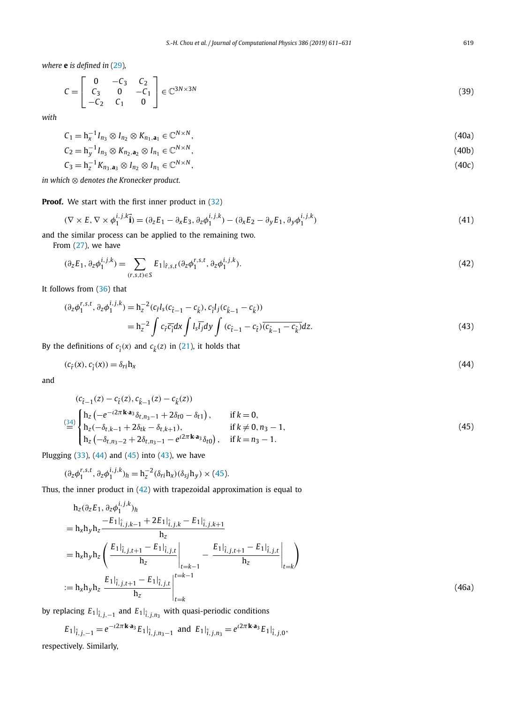<span id="page-8-0"></span>*where* **e** *is defined in* [\(29\)](#page-6-0)*,*

$$
C = \begin{bmatrix} 0 & -C_3 & C_2 \\ C_3 & 0 & -C_1 \\ -C_2 & C_1 & 0 \end{bmatrix} \in \mathbb{C}^{3N \times 3N}
$$
 (39)

*with*

$$
C_1 = h_X^{-1} I_{n_3} \otimes I_{n_2} \otimes K_{n_1, \mathbf{a}_1} \in \mathbb{C}^{N \times N},
$$
\n(40a)

$$
C_2 = \mathbf{h}_y^{-1} I_{n_3} \otimes K_{n_2, \mathbf{a}_2} \otimes I_{n_1} \in \mathbb{C}^{N \times N},\tag{40b}
$$

$$
C_3 = h_2^{-1} K_{n_3, \mathbf{a}_3} \otimes I_{n_2} \otimes I_{n_1} \in \mathbb{C}^{N \times N},\tag{40c}
$$

*in which* ⊗ *denotes the Kronecker product.*

**Proof.** We start with the first inner product in [\(32\)](#page-7-0)

$$
(\nabla \times E, \nabla \times \phi_1^{i,j,k} \mathbf{\vec{i}}) = (\partial_z E_1 - \partial_x E_3, \partial_z \phi_1^{i,j,k}) - (\partial_x E_2 - \partial_y E_1, \partial_y \phi_1^{i,j,k})
$$
\n(41)

and the similar process can be applied to the remaining two.

From [\(27\)](#page-6-0), we have

$$
(\partial_z E_1, \partial_z \phi_1^{i,j,k}) = \sum_{(r,s,t)\in S} E_1|_{\hat{r},s,t} (\partial_z \phi_1^{r,s,t}, \partial_z \phi_1^{i,j,k}).
$$
\n(42)

It follows from [\(36\)](#page-7-0) that

$$
(\partial_z \phi_1^{r,s,t}, \partial_z \phi_1^{i,j,k}) = h_z^{-2} (c_f l_s (c_{\hat{t}-1} - c_{\hat{k}}), c_{\hat{t}} l_j (c_{\hat{k}-1} - c_{\hat{k}}))
$$
  
=  $h_z^{-2} \int c_{\hat{r}} \overline{c_{\hat{i}}} dx \int l_s \overline{l_j} dy \int (c_{\hat{t}-1} - c_{\hat{t}}) \overline{(c_{\hat{k}-1} - c_{\hat{k}})} dz.$  (43)

By the definitions of  $c_{\hat{i}}(x)$  and  $c_{\hat{k}}(z)$  in [\(21\)](#page-5-0), it holds that

$$
(c_{\hat{r}}(x), c_{\hat{i}}(x)) = \delta_{ri} h_x \tag{44}
$$

and

$$
(c_{\hat{t}-1}(z) - c_{\hat{t}}(z), c_{\hat{k}-1}(z) - c_{\hat{k}}(z))
$$
\n
$$
\stackrel{(34)}{=} \begin{cases}\n\mathbf{h}_z \left( -e^{-i2\pi \mathbf{k} \cdot \mathbf{a}_3} \delta_{t, n_3 - 1} + 2\delta_{t0} - \delta_{t1} \right), & \text{if } k = 0, \\
\mathbf{h}_z (-\delta_{t, k-1} + 2\delta_{t k} - \delta_{t, k+1}), & \text{if } k \neq 0, n_3 - 1, \\
\mathbf{h}_z \left( -\delta_{t, n_3 - 2} + 2\delta_{t, n_3 - 1} - e^{i2\pi \mathbf{k} \cdot \mathbf{a}_3} \delta_{t0} \right), & \text{if } k = n_3 - 1.\n\end{cases}
$$
\n(45)

Plugging  $(33)$ ,  $(44)$  and  $(45)$  into  $(43)$ , we have

$$
(\partial_z \phi_1^{r,s,t}, \partial_z \phi_1^{i,j,k})_h = h_z^{-2} (\delta_{ri} h_x) (\delta_{sj} h_y) \times (45).
$$

Thus, the inner product in (42) with trapezoidal approximation is equal to

$$
h_{z}(\partial_{z}E_{1}, \partial_{z}\phi_{1}^{i,j,k})_{h}
$$
\n
$$
= h_{x}h_{y}h_{z} \frac{-E_{1}|_{\hat{i},j,k-1} + 2E_{1}|_{\hat{i},j,k} - E_{1}|_{\hat{i},j,k+1}}{h_{z}}
$$
\n
$$
= h_{x}h_{y}h_{z} \left(\frac{E_{1}|_{\hat{i},j,t+1} - E_{1}|_{\hat{i},j,t}}{h_{z}}\bigg|_{t=k-1} - \frac{E_{1}|_{\hat{i},j,t+1} - E_{1}|_{\hat{i},j,t}}{h_{z}}\bigg|_{t=k}\right)
$$
\n
$$
:= h_{x}h_{y}h_{z} \frac{E_{1}|_{\hat{i},j,t+1} - E_{1}|_{\hat{i},j,t}}{h_{z}} \bigg|_{t=k}^{t=k-1}
$$
\n(46a)

by replacing  $E_1|_{\hat{i},j,-1}$  and  $E_1|_{\hat{i},j,n_3}$  with quasi-periodic conditions

$$
E_1|_{\hat{i},j,-1} = e^{-i2\pi \mathbf{k} \cdot \mathbf{a}_3} E_1|_{\hat{i},j,n_3-1} \text{ and } E_1|_{\hat{i},j,n_3} = e^{i2\pi \mathbf{k} \cdot \mathbf{a}_3} E_1|_{\hat{i},j,0},
$$

respectively. Similarly,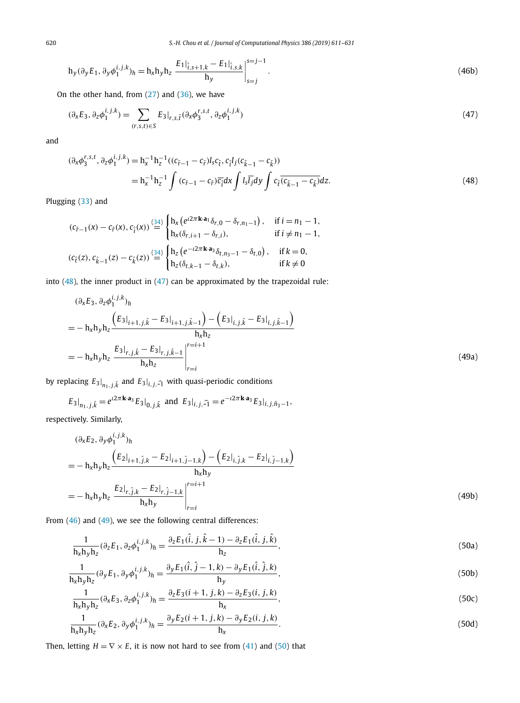620 *S.-H. Chou et al. / Journal of Computational Physics 386 (2019) 611–631*

$$
h_y(\partial_y E_1, \partial_y \phi_1^{i,j,k})_h = h_x h_y h_z \left. \frac{E_1|_{\hat{i},s+1,k} - E_1|_{\hat{i},s,k}}{h_y} \right|_{s=j}^{s=j-1}.
$$
\n(46b)

On the other hand, from  $(27)$  and  $(36)$ , we have

$$
(\partial_{x}E_{3}, \partial_{z}\phi_{1}^{i,j,k}) = \sum_{(r,s,t)\in S} E_{3}|_{r,s,\hat{t}} (\partial_{x}\phi_{3}^{r,s,t}, \partial_{z}\phi_{1}^{i,j,k})
$$
\n(47)

and

$$
(\partial_x \phi_3^{r,s,t}, \partial_z \phi_1^{i,j,k}) = h_x^{-1} h_z^{-1} ((c_{\hat{r}-1} - c_{\hat{r}})l_s c_{\hat{t}}, c_{\hat{t}} l_j (c_{\hat{k}-1} - c_{\hat{k}}))
$$
  
=  $h_x^{-1} h_z^{-1} \int (c_{\hat{r}-1} - c_{\hat{r}}) \overline{c}_{\hat{t}} dx \int l_s \overline{l}_j dy \int c_{\hat{t}} \overline{(c_{\hat{k}-1} - c_{\hat{k}})} dz.$  (48)

Plugging [\(33\)](#page-7-0) and

$$
(c_{\hat{r}-1}(x) - c_{\hat{r}}(x), c_{\hat{i}}(x)) \stackrel{(34)}{=} \begin{cases} h_x(e^{i2\pi k \cdot a_1} \delta_{r,0} - \delta_{r,n_1-1}), & \text{if } i = n_1 - 1, \\ h_x(\delta_{r,i+1} - \delta_{r,i}), & \text{if } i \neq n_1 - 1, \\ h_z(e^{-i2\pi k \cdot a_3} \delta_{t,n_3-1} - \delta_{t,0}), & \text{if } k = 0, \\ h_z(\delta_{t,k-1} - \delta_{t,k}), & \text{if } k \neq 0 \end{cases}
$$

into  $(48)$ , the inner product in  $(47)$  can be approximated by the trapezoidal rule:

$$
\begin{split}\n &(\partial_{\alpha}E_{3},\partial_{z}\phi_{1}^{i,j,k})_{h} \\
 &= -\ln_{\lambda}h_{y}h_{z}\frac{\left(E_{3}|_{i+1,j,\hat{k}}-E_{3}|_{i+1,j,\hat{k}-1}\right)-\left(E_{3}|_{i,j,\hat{k}}-E_{3}|_{i,j,\hat{k}-1}\right)}{\ln_{\lambda}h_{z}} \\
 &= -\ln_{\lambda}h_{y}h_{z}\left.\frac{E_{3}|_{r,j,\hat{k}}-E_{3}|_{r,j,\hat{k}-1}}{\ln_{\lambda}h_{z}}\right|_{r=i}^{r=i+1}\n \end{split}
$$
\n
$$
(49a)
$$

by replacing  $E_3|_{n_1,j,\hat{k}}$  and  $E_3|_{i,j,\widehat{-1}}$  with quasi-periodic conditions

$$
E_3|_{n_1,j,\hat{k}} = e^{i2\pi \mathbf{k} \cdot \mathbf{a}_3} E_3|_{0,j,\hat{k}} \text{ and } E_3|_{i,j,\hat{-1}} = e^{-i2\pi \mathbf{k} \cdot \mathbf{a}_3} E_3|_{i,j,\hat{n}_3-1},
$$

respectively. Similarly,

$$
(\partial_x E_2, \partial_y \phi_1^{i, j, k})_h
$$
  
=  $-\mathbf{h}_x \mathbf{h}_y \mathbf{h}_z \frac{\left(E_2|_{i+1, \hat{j}, k} - E_2|_{i+1, \hat{j}-1, k}\right) - \left(E_2|_{i, \hat{j}, k} - E_2|_{i, \hat{j}-1, k}\right)}{\mathbf{h}_x \mathbf{h}_y}$   
=  $-\mathbf{h}_x \mathbf{h}_y \mathbf{h}_z \frac{E_2|_{r, \hat{j}, k} - E_2|_{r, \hat{j}-1, k}}{\mathbf{h}_x \mathbf{h}_y} \bigg|_{r=i}^{r=i+1}$  (49b)

From [\(46\)](#page-8-0) and (49), we see the following central differences:

$$
\frac{1}{h_x h_y h_z} (\partial_z E_1, \partial_z \phi_1^{i, j, k})_h = \frac{\partial_z E_1(\hat{i}, j, \hat{k} - 1) - \partial_z E_1(\hat{i}, j, \hat{k})}{h_z},\tag{50a}
$$

$$
\frac{1}{\mathbf{h}_{x}\mathbf{h}_{y}\mathbf{h}_{z}}(\partial_{y}E_{1},\partial_{y}\phi_{1}^{i,j,k})_{h} = \frac{\partial_{y}E_{1}(\hat{i},\hat{j}-1,k) - \partial_{y}E_{1}(\hat{i},\hat{j},k)}{\mathbf{h}_{y}},\tag{50b}
$$

$$
\frac{1}{h_x h_y h_z} (\partial_x E_3, \partial_z \phi_1^{i,j,k})_h = \frac{\partial_z E_3(i+1,j,k) - \partial_z E_3(i,j,k)}{h_x},
$$
\n(50c)

$$
\frac{1}{h_x h_y h_z} (\partial_x E_2, \partial_y \phi_1^{i, j, k})_h = \frac{\partial_y E_2(i+1, j, k) - \partial_y E_2(i, j, k)}{h_x}.
$$
\n(50d)

Then, letting  $H = \nabla \times E$ , it is now not hard to see from [\(41\)](#page-8-0) and (50) that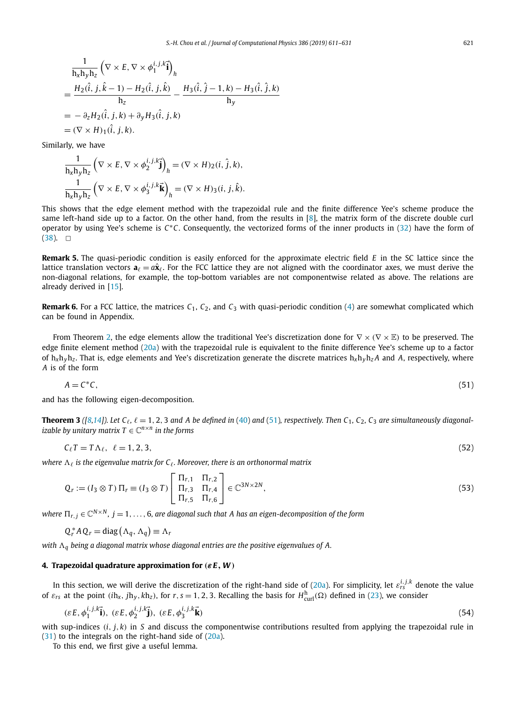<span id="page-10-0"></span>
$$
\frac{1}{h_x h_y h_z} (\nabla \times E, \nabla \times \phi_1^{i, j, k} \vec{i})_h
$$
\n
$$
= \frac{H_2(\hat{i}, j, \hat{k} - 1) - H_2(\hat{i}, j, \hat{k})}{h_z} - \frac{H_3(\hat{i}, \hat{j} - 1, k) - H_3(\hat{i}, \hat{j}, k)}{h_y}
$$
\n
$$
= -\partial_z H_2(\hat{i}, j, k) + \partial_y H_3(\hat{i}, j, k)
$$
\n
$$
= (\nabla \times H)_1(\hat{i}, j, k).
$$

Similarly, we have

$$
\frac{1}{h_x h_y h_z} \left( \nabla \times E, \nabla \times \phi_2^{i, j, k} \vec{\mathbf{j}} \right)_h = (\nabla \times H)_2 (i, \hat{j}, k),
$$
  

$$
\frac{1}{h_x h_y h_z} \left( \nabla \times E, \nabla \times \phi_3^{i, j, k} \vec{\mathbf{k}} \right)_h = (\nabla \times H)_3 (i, j, \hat{k}).
$$

This shows that the edge element method with the trapezoidal rule and the finite difference Yee's scheme produce the same left-hand side up to a factor. On the other hand, from the results in [\[8\]](#page-19-0), the matrix form of the discrete double curl operator by using Yee's scheme is *C*∗*C*. Consequently, the vectorized forms of the inner products in [\(32\)](#page-7-0) have the form of  $(38)$ .  $\Box$ 

**Remark 5.** The quasi-periodic condition is easily enforced for the approximate electric field *E* in the SC lattice since the lattice translation vectors  $\mathbf{a}_\ell = a\hat{\mathbf{x}}_\ell$ . For the FCC lattice they are not aligned with the coordinator axes, we must derive the non-diagonal relations, for example, the top-bottom variables are not componentwise related as above. The relations are already derived in [\[15\]](#page-19-0).

**Remark 6.** For a FCC lattice, the matrices  $C_1$ ,  $C_2$ , and  $C_3$  with quasi-periodic condition [\(4\)](#page-2-0) are somewhat complicated which can be found in Appendix.

From Theorem [2,](#page-7-0) the edge elements allow the traditional Yee's discretization done for ∇ × *(*∇ × E*)* to be preserved. The edge finite element method [\(20a\)](#page-5-0) with the trapezoidal rule is equivalent to the finite difference Yee's scheme up to a factor of  $h_x h_y h_z$ . That is, edge elements and Yee's discretization generate the discrete matrices  $h_x h_y h_z A$  and A, respectively, where *A* is of the form

$$
A = C^*C,\tag{51}
$$

and has the following eigen-decomposition.

**Theorem 3** ([\[8,14\]](#page-19-0)). Let  $C_\ell$ ,  $\ell = 1, 2, 3$  and A be defined in [\(40\)](#page-8-0) and (51), respectively. Then  $C_1$ ,  $C_2$ ,  $C_3$  are simultaneously diagonal*izable by unitary matrix*  $T \in \mathbb{C}^{n \times n}$  *in the forms* 

$$
C_{\ell}T = T\Lambda_{\ell}, \quad \ell = 1, 2, 3,\tag{52}
$$

*where*  $\Lambda_{\ell}$  *is the eigenvalue matrix for*  $C_{\ell}$ *. Moreover, there is an orthonormal matrix* 

$$
Q_r := (I_3 \otimes T) \Pi_r \equiv (I_3 \otimes T) \begin{bmatrix} \Pi_{r,1} & \Pi_{r,2} \\ \Pi_{r,3} & \Pi_{r,4} \\ \Pi_{r,5} & \Pi_{r,6} \end{bmatrix} \in \mathbb{C}^{3N \times 2N},
$$
(53)

where  $\Pi_{r,i} \in \mathbb{C}^{N \times N}$ ,  $j = 1, ..., 6$ , are diagonal such that A has an eigen-decomposition of the form

$$
Q_r^*AQ_r = diag(\Lambda_q, \Lambda_q) \equiv \Lambda_r
$$

*with <sup>q</sup> being a diagonal matrix whose diagonal entries are the positive eigenvalues of A.*

#### **4. Trapezoidal quadrature approximation for** *(εE, W )*

In this section, we will derive the discretization of the right-hand side of [\(20a\)](#page-5-0). For simplicity, let *ε i,j,k rs* denote the value of  $\varepsilon_{rs}$  at the point  $(ih_x, jh_y, kh_z)$ , for  $r, s = 1, 2, 3$ . Recalling the basis for  $H_{\text{curl}}^h(\Omega)$  defined in [\(23\)](#page-6-0), we consider

$$
(\varepsilon E, \phi_1^{i,j,k} \vec{\mathbf{i}}), \ (\varepsilon E, \phi_2^{i,j,k} \vec{\mathbf{j}}), \ (\varepsilon E, \phi_3^{i,j,k} \vec{\mathbf{k}}) \tag{54}
$$

with sup-indices  $(i, j, k)$  in *S* and discuss the componentwise contributions resulted from applying the trapezoidal rule in [\(31\)](#page-7-0) to the integrals on the right-hand side of [\(20a\)](#page-5-0).

To this end, we first give a useful lemma.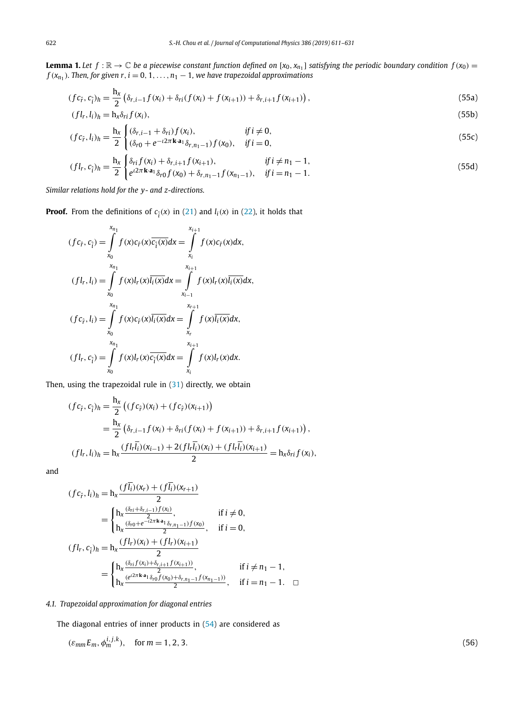<span id="page-11-0"></span>**Lemma 1.** Let  $f : \mathbb{R} \to \mathbb{C}$  be a piecewise constant function defined on  $[x_0, x_{n_1}]$  satisfying the periodic boundary condition  $f(x_0) =$ *f*  $(x_{n_1})$ *. Then, for given r, i* = 0*,* 1*,..., n*<sub>1</sub> − 1*, we have trapezoidal approximations* 

$$
(fc_{\hat{r}}, c_{\hat{i}})_{h} = \frac{h_{x}}{2} \left( \delta_{r,i-1} f(x_{i}) + \delta_{ri} (f(x_{i}) + f(x_{i+1})) + \delta_{r,i+1} f(x_{i+1}) \right),
$$
\n(55a)

$$
(fl_r, l_i)_h = h_x \delta_{ri} f(x_i), \tag{55b}
$$

$$
(fc_{\hat{r}}, l_i)_h = \frac{h_x}{2} \begin{cases} (\delta_{r,i-1} + \delta_{ri}) f(x_i), & \text{if } i \neq 0, \\ (\delta_{r0} + e^{-i2\pi k \cdot a_1} \delta_{r,n_1-1}) f(x_0), & \text{if } i = 0, \end{cases}
$$
(55c)

$$
(fl_r, c_{\hat{i}})_h = \frac{h_x}{2} \begin{cases} \delta_{ri} f(x_i) + \delta_{r,i+1} f(x_{i+1}), & \text{if } i \neq n_1 - 1, \\ e^{i2\pi k \cdot a_1} \delta_{r0} f(x_0) + \delta_{r,n_1 - 1} f(x_{n_1 - 1}), & \text{if } i = n_1 - 1. \end{cases} \tag{55d}
$$

*Similar relations hold for the y- and z-directions.*

**Proof.** From the definitions of  $c_{\hat{i}}(x)$  in [\(21\)](#page-5-0) and  $l_i(x)$  in [\(22\)](#page-5-0), it holds that

$$
(fc_{\hat{r}}, c_{\hat{i}}) = \int_{x_0}^{x_{n_1}} f(x)c_{\hat{r}}(x)\overline{c_{\hat{i}}(x)}dx = \int_{x_i}^{x_{i+1}} f(x)c_{\hat{r}}(x)dx,
$$
  

$$
(fl_r, l_i) = \int_{x_0}^{x_{n_1}} f(x)l_r(x)\overline{l_i(x)}dx = \int_{x_{i-1}}^{x_{i+1}} f(x)l_r(x)\overline{l_i(x)}dx,
$$
  

$$
(fc_{\hat{r}}, l_i) = \int_{x_0}^{x_{n_1}} f(x)c_{\hat{r}}(x)\overline{l_i(x)}dx = \int_{x_r}^{x_{r+1}} f(x)\overline{l_i(x)}dx,
$$
  

$$
(fl_r, c_{\hat{i}}) = \int_{x_0}^{x_{n_1}} f(x)l_r(x)\overline{c_{\hat{i}}(x)}dx = \int_{x_i}^{x_{i+1}} f(x)l_r(x)dx.
$$

Then, using the trapezoidal rule in [\(31\)](#page-7-0) directly, we obtain

$$
(fc_{\hat{r}}, c_{\hat{i}})_h = \frac{h_x}{2} ((fc_{\hat{r}})(x_i) + (fc_{\hat{r}})(x_{i+1}))
$$
  
=  $\frac{h_x}{2} (\delta_{r,i-1} f(x_i) + \delta_{ri} (f(x_i) + f(x_{i+1})) + \delta_{r,i+1} f(x_{i+1})),$   

$$
(fl_r, l_i)_h = h_x \frac{(fl_r\bar{l}_i)(x_{i-1}) + 2(fl_r\bar{l}_i)(x_i) + (fl_r\bar{l}_i)(x_{i+1})}{2} = h_x \delta_{ri} f(x_i),
$$

and

$$
(fc_{\hat{r}}, l_i)_h = h_x \frac{(f\overline{l_i})(x_r) + (f\overline{l_i})(x_{r+1})}{2}
$$
  
\n
$$
= \begin{cases} h_x \frac{(\delta_{ri} + \delta_{r,i-1})f(x_i)}{\delta_{r0} + e^{-i2\pi k a_1} \delta_{r,n_1-1} f(x_0)}, & \text{if } i \neq 0, \\ h_x \frac{(\delta_{r0} + e^{-i2\pi k a_1} \delta_{r,n_1-1})f(x_0)}{2}, & \text{if } i = 0, \end{cases}
$$
  
\n
$$
(fl_r, c_{\hat{i}})_h = h_x \frac{(fl_r)(x_i) + (fl_r)(x_{i+1})}{2}, \text{if } i \neq n_1 - 1, \\ h_x \frac{(e^{i2\pi k a_1} \delta_{r0} f(x_0) + \delta_{r,n_1-1} f(x_{n_1-1}))}{2}, \text{if } i = n_1 - 1. \square
$$

# *4.1. Trapezoidal approximation for diagonal entries*

The diagonal entries of inner products in [\(54\)](#page-10-0) are considered as

$$
(\varepsilon_{mm}E_m, \phi_m^{i,j,k}), \quad \text{for } m = 1, 2, 3. \tag{56}
$$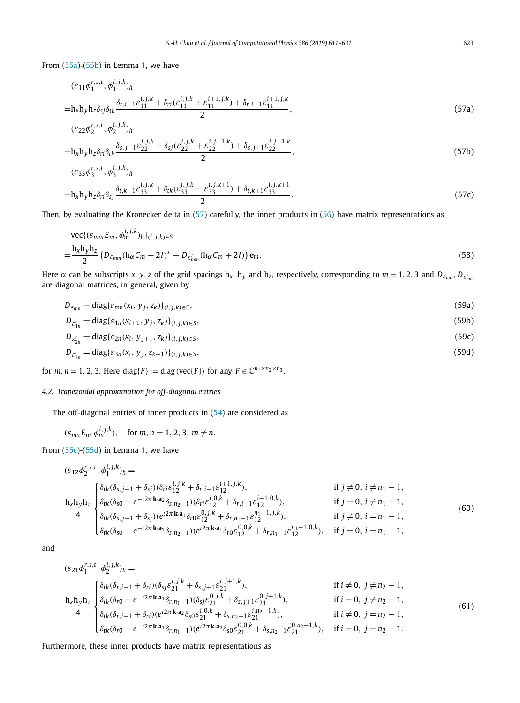<span id="page-12-0"></span>From [\(55a\)](#page-11-0)-[\(55b\)](#page-11-0) in Lemma [1,](#page-11-0) we have

$$
\begin{aligned} &\left(\varepsilon_{11}\phi_1^{r,s,t},\phi_1^{i,j,k}\right)_h\\=&\text{h}_{\mathbf{x}}\text{h}_{\mathbf{y}}\text{h}_{\mathbf{z}}\delta_{5j}\delta_{tk}\frac{\delta_{r,i-1}\varepsilon_{11}^{i,j,k}+\delta_{ri}(\varepsilon_{11}^{i,j,k}+\varepsilon_{11}^{i+1,j,k})+\delta_{r,i+1}\varepsilon_{11}^{i+1,j,k}}{2},\end{aligned} \tag{57a}
$$

$$
\begin{aligned} &\left(\varepsilon_{22}\phi_2^{r,s,t},\phi_2^{i,j,k}\right)_h\\=&\text{h}_{x}\text{h}_{y}\text{h}_{z}\delta_{ri}\delta_{tk}\frac{\delta_{s,j-1}\varepsilon_{22}^{i,j,k}+\delta_{sj}(\varepsilon_{22}^{i,j,k}+\varepsilon_{22}^{i,j+1,k})+\delta_{s,j+1}\varepsilon_{22}^{i,j+1,k}}{2},\end{aligned} \tag{57b}
$$

$$
(\varepsilon_{33}\phi_3^{r,s,t}, \phi_3^{i,j,k})_h
$$

$$
=h_xh_yh_z\delta_{ri}\delta_{sj}\frac{\delta_{t,k-1}\varepsilon_{33}^{i,j,k} + \delta_{tk}(\varepsilon_{33}^{i,j,k} + \varepsilon_{33}^{i,j,k+1}) + \delta_{t,k+1}\varepsilon_{33}^{i,j,k+1}}{2}.
$$
\n(57c)

Then, by evaluating the Kronecker delta in (57) carefully, the inner products in [\(56\)](#page-11-0) have matrix representations as

$$
\begin{split} &\text{vec}\{(\varepsilon_{mm}E_m,\phi_m^{i,j,k})_h\}_{(i,j,k)\in S} \\ &= \frac{\mathbf{h}_x \mathbf{h}_y \mathbf{h}_z}{2} \left(D_{\varepsilon_{mm}} (\mathbf{h}_\alpha C_m + 2I)^* + D_{\varepsilon'_{mm}} (\mathbf{h}_\alpha C_m + 2I)\right) \mathbf{e}_m. \end{split} \tag{58}
$$

Here  $\alpha$  can be subscripts x, y, z of the grid spacings h<sub>x</sub>, h<sub>y</sub> and h<sub>z</sub>, respectively, corresponding to  $m = 1, 2, 3$  and  $D_{\varepsilon_{mn}}$ ,  $D_{\varepsilon'_{mn}}$ are diagonal matrices, in general, given by

$$
D_{\varepsilon_{mn}} = \text{diag}\{\varepsilon_{mn}(x_i, y_j, z_k)\}_{(i,j,k)\in S},\tag{59a}
$$

$$
D_{\varepsilon'_{1n}} = \text{diag}\{\varepsilon_{1n}(x_{i+1}, y_j, z_k)\}_{(i,j,k)\in S},\tag{59b}
$$

$$
D_{\varepsilon'_{2n}} = \text{diag}\{\varepsilon_{2n}(x_i, y_{j+1}, z_k)\}_{(i,j,k)\in S},\tag{59c}
$$

$$
D_{\varepsilon'_{3n}} = \text{diag}\{\varepsilon_{3n}(x_i, y_j, z_{k+1})\}_{(i,j,k) \in S},\tag{59d}
$$

for  $m, n = 1, 2, 3$ . Here diag $\{F\} := \text{diag}(\text{vec}\{F\})$  for any  $F \in \mathbb{C}^{n_1 \times n_2 \times n_3}$ .

# *4.2. Trapezoidal approximation for off-diagonal entries*

The off-diagonal entries of inner products in [\(54\)](#page-10-0) are considered as

$$
(\varepsilon_{mn}E_n, \phi_m^{i,j,k}), \quad \text{for } m, n = 1, 2, 3, m \neq n.
$$

From  $(55c)-(55d)$  $(55c)-(55d)$  $(55c)-(55d)$  in Lemma [1,](#page-11-0) we have

$$
(\varepsilon_{12}\phi_{2}^{r,s,t}, \phi_{1}^{i,j,k})_{h} = \qquad \qquad \text{if } j \neq 0, \ i \neq n_{1} - 1,
$$
\n
$$
\frac{\mathbf{h}_{x}\mathbf{h}_{y}\mathbf{h}_{z}}{4} \begin{cases} \delta_{tk}(\delta_{s,j-1} + \delta_{sj})(\delta_{ri}\varepsilon_{12}^{i,j,k} + \delta_{r,i+1}\varepsilon_{12}^{i+1,j,k}), & \text{if } j \neq 0, \ i \neq n_{1} - 1, \\ \delta_{tk}(\delta_{s0} + e^{-i2\pi \mathbf{k} \cdot \mathbf{a}_{2}} \delta_{s,n_{2}-1})(\delta_{ri}\varepsilon_{12}^{i,0,k} + \delta_{r,i+1}\varepsilon_{12}^{i+1,0,k}), & \text{if } j = 0, \ i \neq n_{1} - 1, \\ \delta_{tk}(\delta_{s,j-1} + \delta_{sj})(e^{i2\pi \mathbf{k} \cdot \mathbf{a}_{1}} \delta_{r0}\varepsilon_{12}^{0,j,k} + \delta_{r,n_{1}-1}\varepsilon_{12}^{n_{1}-1,j,k}), & \text{if } j \neq 0, \ i = n_{1} - 1, \end{cases} \tag{60}
$$

$$
\begin{cases}\n\delta_{tk}(\delta_{s0} + e^{-t2\pi \mathbf{k} \cdot \mathbf{a}_2} \delta_{s,n_2-1})(e^{t2\pi \mathbf{k} \cdot \mathbf{a}_1} \delta_{r0} \varepsilon_{12}^{0,0,k} + \delta_{r,n_1-1} \varepsilon_{12}^{n_1-1,0,k}), & \text{if } j = 0, i = n_1 - 1, \\
\delta_{tk}(\delta_{s0} + e^{-t2\pi \mathbf{k} \cdot \mathbf{a}_2} \delta_{s,n_2-1})(e^{t2\pi \mathbf{k} \cdot \mathbf{a}_1} \delta_{r0} \varepsilon_{12}^{0,0,k} + \delta_{r,n_1-1} \varepsilon_{12}^{n_1-1,0,k}), & \text{if } j = 0, i = n_1 - 1,\n\end{cases}
$$

and

$$
(\varepsilon_{21}\phi_{1}^{r,s,t}, \phi_{2}^{i,j,k})_{h} = \qquad \text{if } i \neq 0, \ j \neq n_{2} - 1,
$$
  
\n
$$
\frac{\mathbf{h}_{x}\mathbf{h}_{y}\mathbf{h}_{z}}{4} \begin{cases} \delta_{tk}(\delta_{r,i-1} + \delta_{ri})(\delta_{sj}\varepsilon_{21}^{i,j,k} + \delta_{s,j+1}\varepsilon_{21}^{i,j+1,k}), & \text{if } i \neq 0, \ j \neq n_{2} - 1, \\ \delta_{tk}(\delta_{r0} + e^{-i2\pi \mathbf{k} \cdot \mathbf{a}_{1}} \delta_{r,n_{1}-1})(\delta_{sj}\varepsilon_{21}^{0,j,k} + \delta_{s,j+1}\varepsilon_{21}^{0,j+1,k}), & \text{if } i = 0, \ j \neq n_{2} - 1, \\ \delta_{tk}(\delta_{r,i-1} + \delta_{ri})(e^{i2\pi \mathbf{k} \cdot \mathbf{a}_{2}} \delta_{s0}\varepsilon_{21}^{i,0,k} + \delta_{s,n_{2} - 1}\varepsilon_{21}^{i,n_{2} - 1,k}), & \text{if } i \neq 0, \ j = n_{2} - 1, \\ \delta_{tk}(\delta_{r0} + e^{-i2\pi \mathbf{k} \cdot \mathbf{a}_{1}} \delta_{r,n_{1}-1})(e^{i2\pi \mathbf{k} \cdot \mathbf{a}_{2}} \delta_{s0}\varepsilon_{21}^{0,0,k} + \delta_{s,n_{2} - 1}\varepsilon_{21}^{0,n_{2} - 1,k}), & \text{if } i = 0, \ j = n_{2} - 1. \end{cases} \qquad (61)
$$

Furthermore, these inner products have matrix representations as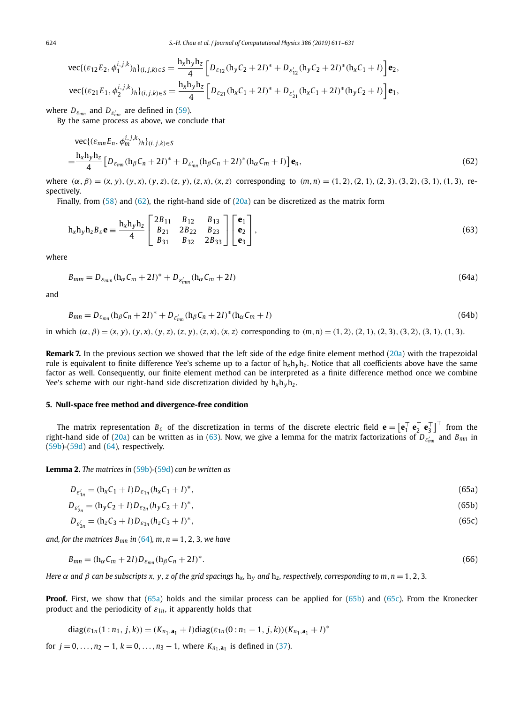<span id="page-13-0"></span>
$$
\text{vec}\{(\varepsilon_{12}E_2,\phi_1^{i,j,k})_h\}_{(i,j,k)\in S} = \frac{\mathbf{h}_x \mathbf{h}_y \mathbf{h}_z}{4} \left[ D_{\varepsilon_{12}} (\mathbf{h}_y C_2 + 2I)^* + D_{\varepsilon'_{12}} (\mathbf{h}_y C_2 + 2I)^* (\mathbf{h}_x C_1 + I) \right] \mathbf{e}_2,
$$
\n
$$
\text{vec}\{(\varepsilon_{21}E_1,\phi_2^{i,j,k})_h\}_{(i,j,k)\in S} = \frac{\mathbf{h}_x \mathbf{h}_y \mathbf{h}_z}{4} \left[ D_{\varepsilon_{21}} (\mathbf{h}_x C_1 + 2I)^* + D_{\varepsilon'_{21}} (\mathbf{h}_x C_1 + 2I)^* (\mathbf{h}_y C_2 + I) \right] \mathbf{e}_1,
$$

where  $D_{\varepsilon_{mn}}$  and  $D_{\varepsilon'_{mn}}$  are defined in [\(59\)](#page-12-0).

By the same process as above, we conclude that

$$
\text{vec}\{(\varepsilon_{mn}E_n, \phi_m^{i,j,k})_h\}_{(i,j,k)\in S} \\
= \frac{\mathbf{h}_x \mathbf{h}_y \mathbf{h}_z}{4} \left[ D_{\varepsilon_{mn}} (\mathbf{h}_\beta C_n + 2I)^* + D_{\varepsilon_{mn}'} (\mathbf{h}_\beta C_n + 2I)^* (\mathbf{h}_\alpha C_m + I) \right] \mathbf{e}_n,
$$
\n(62)

where  $(\alpha, \beta) = (x, y), (y, x), (y, z), (z, y), (z, x), (x, z)$  corresponding to  $(m, n) = (1, 2), (2, 1), (2, 3), (3, 2), (3, 1), (1, 3),$  respectively.

Finally, from  $(58)$  and  $(62)$ , the right-hand side of  $(20a)$  can be discretized as the matrix form

$$
h_x h_y h_z B_{\varepsilon} \mathbf{e} \equiv \frac{h_x h_y h_z}{4} \begin{bmatrix} 2B_{11} & B_{12} & B_{13} \\ B_{21} & 2B_{22} & B_{23} \\ B_{31} & B_{32} & 2B_{33} \end{bmatrix} \begin{bmatrix} \mathbf{e}_1 \\ \mathbf{e}_2 \\ \mathbf{e}_3 \end{bmatrix},
$$
(63)

where

$$
B_{mm} = D_{\varepsilon_{mm}} (\mathbf{h}_{\alpha} C_m + 2I)^* + D_{\varepsilon'_{mm}} (\mathbf{h}_{\alpha} C_m + 2I)
$$
\n(64a)

and

$$
B_{mn} = D_{\varepsilon_{mn}} (\mathbf{h}_{\beta} C_n + 2I)^* + D_{\varepsilon'_{mn}} (\mathbf{h}_{\beta} C_n + 2I)^* (\mathbf{h}_{\alpha} C_m + I)
$$
\n(64b)

in which  $(\alpha, \beta) = (x, y), (y, x), (y, z), (z, y), (z, x), (x, z)$  corresponding to  $(m, n) = (1, 2), (2, 1), (2, 3), (3, 2), (3, 1), (1, 3)$ .

**Remark 7.** In the previous section we showed that the left side of the edge finite element method [\(20a\)](#page-5-0) with the trapezoidal rule is equivalent to finite difference Yee's scheme up to a factor of h*x*h*y*h*<sup>z</sup>* . Notice that all coefficients above have the same factor as well. Consequently, our finite element method can be interpreted as a finite difference method once we combine Yee's scheme with our right-hand side discretization divided by  $h_x h_y h_z$ .

#### **5. Null-space free method and divergence-free condition**

The matrix representation  $B_\varepsilon$  of the discretization in terms of the discrete electric field  $\mathbf{e} = \left[\mathbf{e}_1^\top \ \mathbf{e}_2^\top \ \mathbf{e}_3^\top\right]^\top$  from the right-hand side of [\(20a\)](#page-5-0) can be written as in (63). Now, we give a lemma for the matrix factorizations of *Dε mn* and *Bmn* in  $(59b)-(59d)$  $(59b)-(59d)$  $(59b)-(59d)$  and  $(64)$ , respectively.

**Lemma 2.** *The matrices in* [\(59b\)](#page-12-0)*-*[\(59d\)](#page-12-0) *can be written as*

$$
D_{\varepsilon'_{1n}} = (h_x C_1 + I) D_{\varepsilon_{1n}} (h_x C_1 + I)^*,
$$
\n(65a)

$$
D_{\varepsilon'_{2n}} = (h_y C_2 + I) D_{\varepsilon_{2n}} (h_y C_2 + I)^*,\tag{65b}
$$

$$
D_{\varepsilon'_{3n}} = (h_z C_3 + I) D_{\varepsilon_{3n}} (h_z C_3 + I)^*,\tag{65c}
$$

*and,* for the matrices  $B_{mn}$  in (64),  $m, n = 1, 2, 3$ , we have

$$
B_{mn} = (h_{\alpha}C_m + 2I)D_{\varepsilon_{mn}}(h_{\beta}C_n + 2I)^*.
$$
\n(66)

Here  $\alpha$  and  $\beta$  can be subscripts x, y, z of the grid spacings h<sub>x</sub>, h<sub>y</sub> and h<sub>z</sub>, respectively, corresponding to m, n = 1, 2, 3.

**Proof.** First, we show that (65a) holds and the similar process can be applied for (65b) and (65c). From the Kronecker product and the periodicity of *ε*1*n*, it apparently holds that

diag(
$$
\varepsilon_{1n}
$$
(1:n<sub>1</sub>, j, k)) = ( $K_{n_1, \mathbf{a}_1}$  + I)diag( $\varepsilon_{1n}$ (0:n<sub>1</sub> - 1, j, k))( $K_{n_1, \mathbf{a}_1}$  + I)<sup>\*</sup>

for  $j = 0, ..., n_2 - 1, k = 0, ..., n_3 - 1$ , where  $K_{n_1, a_1}$  is defined in [\(37\)](#page-7-0).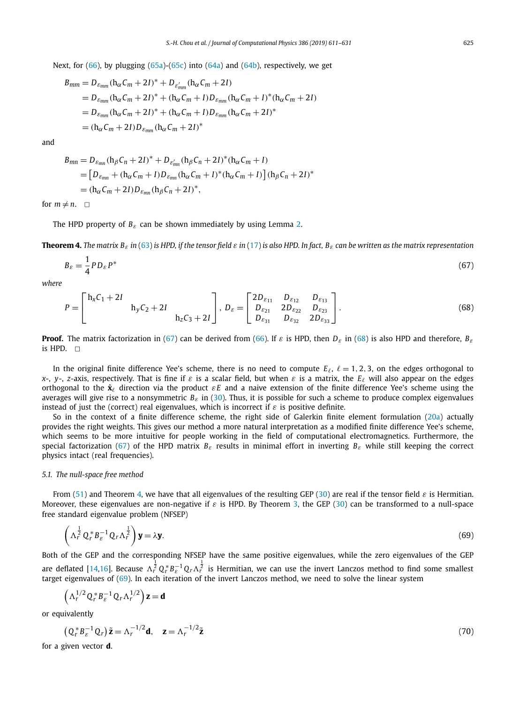<span id="page-14-0"></span>Next, for  $(66)$ , by plugging  $(65a)-(65c)$  $(65a)-(65c)$  $(65a)-(65c)$  into  $(64a)$  and  $(64b)$ , respectively, we get

$$
B_{mm} = D_{\varepsilon_{mm}} (h_{\alpha}C_m + 2I)^* + D_{\varepsilon'_{mm}} (h_{\alpha}C_m + 2I)
$$
  
=  $D_{\varepsilon_{mm}} (h_{\alpha}C_m + 2I)^* + (h_{\alpha}C_m + I)D_{\varepsilon_{mm}} (h_{\alpha}C_m + I)^*(h_{\alpha}C_m + 2I)$   
=  $D_{\varepsilon_{mm}} (h_{\alpha}C_m + 2I)^* + (h_{\alpha}C_m + I)D_{\varepsilon_{mm}} (h_{\alpha}C_m + 2I)^*$   
=  $(h_{\alpha}C_m + 2I)D_{\varepsilon_{mm}} (h_{\alpha}C_m + 2I)^*$ 

and

$$
B_{mn} = D_{\varepsilon_{mn}} (h_{\beta} C_n + 2I)^* + D_{\varepsilon'_{mn}} (h_{\beta} C_n + 2I)^* (h_{\alpha} C_m + I)
$$
  
= 
$$
[D_{\varepsilon_{mn}} + (h_{\alpha} C_m + I)D_{\varepsilon_{mn}} (h_{\alpha} C_m + I)^* (h_{\alpha} C_m + I)] (h_{\beta} C_n + 2I)^*
$$
  
= 
$$
(h_{\alpha} C_m + 2I)D_{\varepsilon_{mn}} (h_{\beta} C_n + 2I)^*,
$$

for  $m \neq n$ .  $\Box$ 

The HPD property of *Bε* can be shown immediately by using Lemma [2.](#page-13-0)

**Theorem 4.** The matrix  $B_{\varepsilon}$  in [\(63\)](#page-13-0) is HPD, if the tensor field  $\varepsilon$  in [\(17\)](#page-4-0) is also HPD. In fact,  $B_{\varepsilon}$  can be written as the matrix representation

$$
B_{\varepsilon} = \frac{1}{4} P D_{\varepsilon} P^* \tag{67}
$$

*where*

$$
P = \begin{bmatrix} h_x C_1 + 2I & h_y C_2 + 2I & h_z C_3 + 2I \end{bmatrix}, D_{\varepsilon} = \begin{bmatrix} 2D_{\varepsilon_{11}} & D_{\varepsilon_{12}} & D_{\varepsilon_{13}} \\ D_{\varepsilon_{21}} & 2D_{\varepsilon_{22}} & D_{\varepsilon_{23}} \\ D_{\varepsilon_{31}} & D_{\varepsilon_{32}} & 2D_{\varepsilon_{33}} \end{bmatrix}.
$$
 (68)

**Proof.** The matrix factorization in (67) can be derived from [\(66\)](#page-13-0). If *ε* is HPD, then *Dε* in (68) is also HPD and therefore, *Bε* is HPD.  $\square$ 

In the original finite difference Yee's scheme, there is no need to compute  $E_f$ ,  $\ell = 1, 2, 3$ , on the edges orthogonal to *x*-, *y*-, *z*-axis, respectively. That is fine if  $\varepsilon$  is a scalar field, but when  $\varepsilon$  is a matrix, the  $E_{\ell}$  will also appear on the edges orthogonal to the  $\hat{\mathbf{x}}_\ell$  direction via the product  $\varepsilon E$  and a naive extension of the finite difference Yee's scheme using the averages will give rise to a nonsymmetric *Bε* in [\(30\)](#page-7-0). Thus, it is possible for such a scheme to produce complex eigenvalues instead of just the (correct) real eigenvalues, which is incorrect if *ε* is positive definite.

So in the context of a finite difference scheme, the right side of Galerkin finite element formulation [\(20a\)](#page-5-0) actually provides the right weights. This gives our method a more natural interpretation as a modified finite difference Yee's scheme, which seems to be more intuitive for people working in the field of computational electromagnetics. Furthermore, the special factorization (67) of the HPD matrix *Bε* results in minimal effort in inverting *Bε* while still keeping the correct physics intact (real frequencies).

#### *5.1. The null-space free method*

From [\(51\)](#page-10-0) and Theorem 4, we have that all eigenvalues of the resulting GEP [\(30\)](#page-7-0) are real if the tensor field *ε* is Hermitian. Moreover, these eigenvalues are non-negative if *ε* is HPD. By Theorem [3,](#page-10-0) the GEP [\(30\)](#page-7-0) can be transformed to a null-space free standard eigenvalue problem (NFSEP)

$$
\left(\Lambda_r^{\frac{1}{2}} Q_r^* B_{\varepsilon}^{-1} Q_r \Lambda_r^{\frac{1}{2}}\right) \mathbf{y} = \lambda \mathbf{y}.
$$
\n(69)

Both of the GEP and the corresponding NFSEP have the same positive eigenvalues, while the zero eigenvalues of the GEP are deflated [\[14,16\]](#page-19-0). Because  $\Lambda_r^{\frac12}Q_r^*B_e^{-1}Q_r\Lambda_r^{\frac12}$  is Hermitian, we can use the invert Lanczos method to find some smallest target eigenvalues of (69). In each iteration of the invert Lanczos method, we need to solve the linear system

 $\left( \Lambda_r^{1/2} Q_r^* B_{\varepsilon}^{-1} Q_r \Lambda_r^{1/2} \right) z = d$ 

or equivalently

$$
\left(Q_r^* B_{\varepsilon}^{-1} Q_r\right) \tilde{\mathbf{z}} = \Lambda_r^{-1/2} \mathbf{d}, \quad \mathbf{z} = \Lambda_r^{-1/2} \tilde{\mathbf{z}} \tag{70}
$$

for a given vector **d**.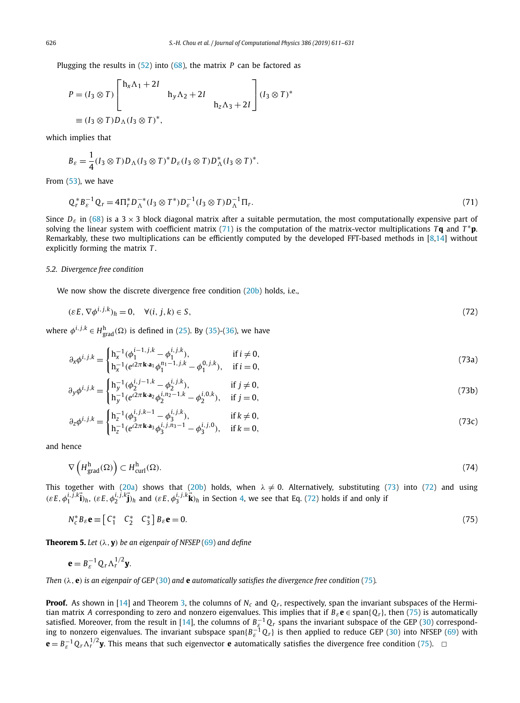<span id="page-15-0"></span>Plugging the results in [\(52\)](#page-10-0) into [\(68\)](#page-14-0), the matrix *P* can be factored as

$$
P = (I_3 \otimes T) \begin{bmatrix} h_x \Lambda_1 + 2I \\ h_y \Lambda_2 + 2I \\ h_z \Lambda_3 + 2I \end{bmatrix} (I_3 \otimes T)^*
$$
  

$$
\equiv (I_3 \otimes T)D_{\Lambda} (I_3 \otimes T)^*,
$$

which implies that

$$
B_{\varepsilon} = \frac{1}{4} (I_3 \otimes T) D_{\Lambda} (I_3 \otimes T)^* D_{\varepsilon} (I_3 \otimes T) D_{\Lambda}^* (I_3 \otimes T)^*.
$$

From  $(53)$ , we have

$$
Q_r^* B_{\varepsilon}^{-1} Q_r = 4 \Pi_r^* D_{\Lambda}^{-*} (I_3 \otimes T^*) D_{\varepsilon}^{-1} (I_3 \otimes T) D_{\Lambda}^{-1} \Pi_r.
$$
\n(71)

Since  $D_{\varepsilon}$  in [\(68\)](#page-14-0) is a 3 × 3 block diagonal matrix after a suitable permutation, the most computationally expensive part of solving the linear system with coefficient matrix (71) is the computation of the matrix-vector multiplications *T* **q** and *T* <sup>∗</sup>**p**. Remarkably, these two multiplications can be efficiently computed by the developed FFT-based methods in  $[8,14]$  without explicitly forming the matrix *T* .

### *5.2. Divergence free condition*

We now show the discrete divergence free condition [\(20b\)](#page-5-0) holds, i.e.,

$$
(\varepsilon E, \nabla \phi^{i,j,k})_h = 0, \quad \forall (i, j, k) \in S,
$$
\n
$$
(72)
$$

where  $\phi^{i,j,k} \in H_{\text{grad}}^{\text{h}}(\Omega)$  is defined in [\(25\)](#page-6-0). By [\(35\)](#page-7-0)-[\(36\)](#page-7-0), we have

$$
\partial_x \phi^{i,j,k} = \begin{cases} h_x^{-1}(\phi_1^{i-1,j,k} - \phi_1^{i,j,k}), & \text{if } i \neq 0, \\ h_x^{-1}(e^{i2\pi \mathbf{k} \cdot \mathbf{a}_1} \phi_1^{n_1-1,j,k} - \phi_1^{0,j,k}), & \text{if } i = 0, \end{cases}
$$
(73a)

$$
\partial_y \phi^{i,j,k} = \begin{cases} h_y^{-1}(\phi_2^{i,j-1,k} - \phi_2^{i,j,k}), & \text{if } j \neq 0, \\ h_y^{-1}(e^{i2\pi \mathbf{k} \cdot \mathbf{a}_2} \phi_2^{i,n_2-1,k} - \phi_2^{i,0,k}), & \text{if } j = 0, \end{cases}
$$
(73b)

$$
\partial_z \phi^{i,j,k} = \begin{cases} h_z^{-1} (\phi_3^{i,j,k-1} - \phi_3^{i,j,k}), & \text{if } k \neq 0, \\ h_z^{-1} (e^{i2\pi \mathbf{k} \cdot \mathbf{a}_3} \phi_3^{i,j,n_3-1} - \phi_3^{i,j,0}), & \text{if } k = 0, \end{cases}
$$
(73c)

and hence

$$
\nabla \left( H_{\text{grad}}^{\text{h}}(\Omega) \right) \subset H_{\text{curl}}^{\text{h}}(\Omega). \tag{74}
$$

This together with [\(20a\)](#page-5-0) shows that [\(20b\)](#page-5-0) holds, when  $\lambda \neq 0$ . Alternatively, substituting (73) into (72) and using  $(\varepsilon E, \phi_1^{i,j,k} \vec{i})_h$ ,  $(\varepsilon E, \phi_2^{i,j,k} \vec{j})_h$  and  $(\varepsilon E, \phi_3^{i,j,k} \vec{k})_h$  in Section [4,](#page-10-0) we see that Eq. (72) holds if and only if

$$
N_c^* B_{\varepsilon} \mathbf{e} \equiv \begin{bmatrix} C_1^* & C_2^* & C_3^* \end{bmatrix} B_{\varepsilon} \mathbf{e} = 0. \tag{75}
$$

**Theorem 5.** *Let (λ,* **y***) be an eigenpair of NFSEP* [\(69\)](#page-14-0) *and define*

$$
\mathbf{e} = B_{\varepsilon}^{-1} Q_r \Lambda_r^{1/2} \mathbf{y}.
$$

Then  $(\lambda, e)$  is an eigenpair of GEP [\(30\)](#page-7-0) and e automatically satisfies the divergence free condition (75).

**Proof.** As shown in [\[14\]](#page-19-0) and Theorem [3,](#page-10-0) the columns of *Nc* and *Qr*, respectively, span the invariant subspaces of the Hermitian matrix *A* corresponding to zero and nonzero eigenvalues. This implies that if *Bε***e** ∈ span{*Qr*}, then (75) is automatically satisfied. Moreover, from the result in [\[14\]](#page-19-0), the columns of  $B_{\xi}^{-1}Q_r$  spans the invariant subspace of the GEP [\(30\)](#page-7-0) corresponding to nonzero eigenvalues. The invariant subspace span $\{B_{\varepsilon}^{-1}Q_r\}$  is then applied to reduce GEP [\(30\)](#page-7-0) into NFSEP [\(69\)](#page-14-0) with  $\mathbf{e} = B_{\varepsilon}^{-1} Q_r \Lambda_r^{1/2} \mathbf{y}$ . This means that such eigenvector **e** automatically satisfies the divergence free condition (75).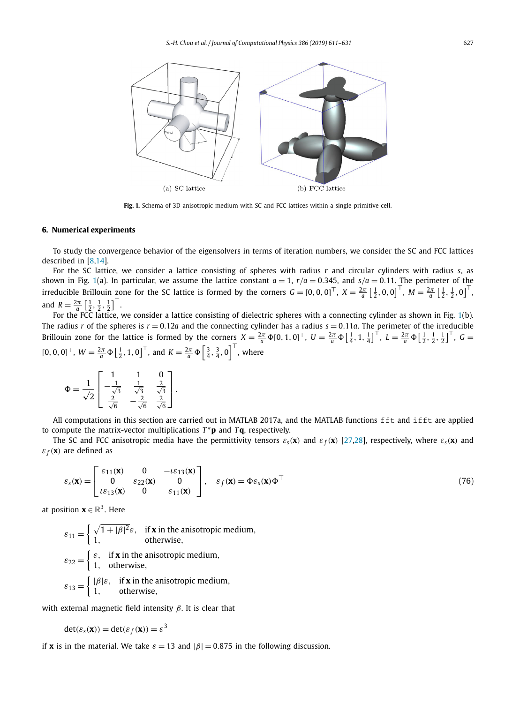<span id="page-16-0"></span>

**Fig. 1.** Schema of 3D anisotropic medium with SC and FCC lattices within a single primitive cell.

#### **6. Numerical experiments**

To study the convergence behavior of the eigensolvers in terms of iteration numbers, we consider the SC and FCC lattices described in [\[8,14\]](#page-19-0).

For the SC lattice, we consider a lattice consisting of spheres with radius *r* and circular cylinders with radius *s*, as shown in Fig. 1(a). In particular, we assume the lattice constant  $a = 1$ ,  $r/a = 0.345$ , and  $s/a = 0.11$ . The perimeter of the irreducible Brillouin zone for the SC lattice is formed by the corners  $G = [0, 0, 0]^{\top}$ ,  $X = \frac{2\pi}{a} \left[\frac{1}{2}, 0, 0\right]^{\top}$ ,  $M = \frac{2\pi}{a} \left[\frac{1}{2}, \frac{1}{2}, 0\right]^{\top}$ and  $R = \frac{2\pi}{a} \left[ \frac{1}{2}, \frac{1}{2}, \frac{1}{2} \right]^\top$ .

For the FCC lattice, we consider a lattice consisting of dielectric spheres with a connecting cylinder as shown in Fig. 1(b). The radius *r* of the spheres is  $r = 0.12a$  and the connecting cylinder has a radius  $s = 0.11a$ . The perimeter of the irreducible Brillouin zone for the lattice is formed by the corners  $X = \frac{2\pi}{a} \Phi[0, 1, 0]^{\top}$ ,  $U = \frac{2\pi}{a} \Phi\left[\frac{1}{4}, 1, \frac{1}{4}\right]^{\top}$ ,  $L = \frac{2\pi}{a} \Phi\left[\frac{1}{2}, \frac{1}{2}, \frac{1}{2}\right]^{\top}$ ,  $G =$  $[0, 0, 0]^{\top}$ ,  $W = \frac{2\pi}{a} \Phi\left[\frac{1}{2}, 1, 0\right]^{\top}$ , and  $K = \frac{2\pi}{a} \Phi\left[\frac{3}{4}, \frac{3}{4}, 0\right]^{\top}$ , where

$$
\Phi = \frac{1}{\sqrt{2}} \begin{bmatrix} 1 & 1 & 0 \\ -\frac{1}{\sqrt{3}} & \frac{1}{\sqrt{3}} & \frac{2}{\sqrt{3}} \\ \frac{2}{\sqrt{6}} & -\frac{2}{\sqrt{6}} & \frac{2}{\sqrt{6}} \end{bmatrix}.
$$

All computations in this section are carried out in MATLAB 2017a, and the MATLAB functions fft and ifft are applied to compute the matrix-vector multiplications  $T^*$ **p** and  $T$ **q**, respectively.

The SC and FCC anisotropic media have the permittivity tensors  $\varepsilon_s(\mathbf{x})$  and  $\varepsilon_f(\mathbf{x})$  [\[27,28\]](#page-19-0), respectively, where  $\varepsilon_s(\mathbf{x})$  and  $\varepsilon_f(\mathbf{x})$  are defined as

$$
\varepsilon_{\mathcal{S}}(\mathbf{x}) = \begin{bmatrix} \varepsilon_{11}(\mathbf{x}) & 0 & -\iota \varepsilon_{13}(\mathbf{x}) \\ 0 & \varepsilon_{22}(\mathbf{x}) & 0 \\ \iota \varepsilon_{13}(\mathbf{x}) & 0 & \varepsilon_{11}(\mathbf{x}) \end{bmatrix}, \quad \varepsilon_{f}(\mathbf{x}) = \Phi \varepsilon_{\mathcal{S}}(\mathbf{x}) \Phi^{\top}
$$
(76)

at position  $\mathbf{x} \in \mathbb{R}^3$ . Here

 $\varepsilon_{11} = \begin{cases} \sqrt{1+|\beta|^2} \varepsilon, & \text{if } \mathbf{x} \text{ in the anisotropic medium,} \\ 1 & \text{otherwise.} \end{cases}$ 1*,* otherwise*,*  $\varepsilon_{22} = \begin{cases} \varepsilon, & \text{if } \mathbf{x} \text{ in the anisotropic medium,} \\ 1 & \text{otherwise.} \end{cases}$ 1*,* otherwise*,*  $\varepsilon_{13} = \begin{cases} |\beta|\varepsilon, & \text{if } \mathbf{x} \text{ in the anisotropic medium,} \\ 1 & \text{otherwise.} \end{cases}$ 1*,* otherwise*,*

with external magnetic field intensity *β*. It is clear that

$$
\det(\varepsilon_{\mathsf{s}}(\mathbf{x})) = \det(\varepsilon_f(\mathbf{x})) = \varepsilon^3
$$

if **x** is in the material. We take  $\varepsilon = 13$  and  $|\beta| = 0.875$  in the following discussion.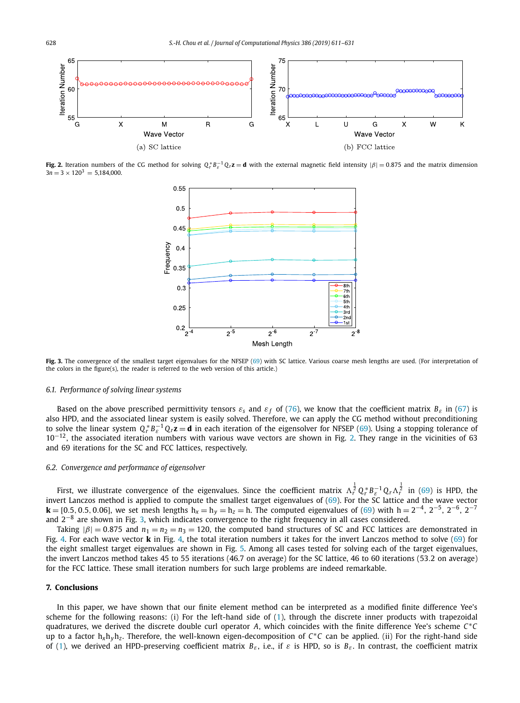

**Fig. 2.** Iteration numbers of the CG method for solving  $Q_r^* B_e^{-1} Q_r \mathbf{z} = \mathbf{d}$  with the external magnetic field intensity  $|\beta| = 0.875$  and the matrix dimension  $3n = 3 \times 120^3 = 5.184,000$ .



**Fig. 3.** The convergence of the smallest target eigenvalues for the NFSEP [\(69\)](#page-14-0) with SC lattice. Various coarse mesh lengths are used. (For interpretation of the colors in the figure(s), the reader is referred to the web version of this article.)

#### *6.1. Performance of solving linear systems*

Based on the above prescribed permittivity tensors  $\varepsilon_s$  and  $\varepsilon_f$  of [\(76\)](#page-16-0), we know that the coefficient matrix  $B_\varepsilon$  in [\(67\)](#page-14-0) is also HPD, and the associated linear system is easily solved. Therefore, we can apply the CG method without preconditioning to solve the linear system  $Q_r^* B_\varepsilon^{-1} Q_r \mathbf{z} = \mathbf{d}$  in each iteration of the eigensolver for NFSEP [\(69\)](#page-14-0). Using a stopping tolerance of 10<sup>−</sup>12, the associated iteration numbers with various wave vectors are shown in Fig. 2. They range in the vicinities of 63 and 69 iterations for the SC and FCC lattices, respectively.

#### *6.2. Convergence and performance of eigensolver*

First, we illustrate convergence of the eigenvalues. Since the coefficient matrix  $\Lambda_r^{\frac{1}{2}}Q_r^*B_{\varepsilon}^{-1}Q_r\Lambda_r^{\frac{1}{2}}$  in [\(69\)](#page-14-0) is HPD, the invert Lanczos method is applied to compute the smallest target eigenvalues of [\(69\)](#page-14-0). For the SC lattice and the wave vector **k** = [0.5, 0.5, 0.06], we set mesh lengths  $h_x = h_y = h_z = h$ . The computed eigenvalues of [\(69\)](#page-14-0) with  $h = 2^{-4}$ , 2<sup>-5</sup>, 2<sup>-6</sup>, 2<sup>-7</sup> and 2−<sup>8</sup> are shown in Fig. 3, which indicates convergence to the right frequency in all cases considered.

Taking  $|\beta| = 0.875$  and  $n_1 = n_2 = n_3 = 120$ , the computed band structures of SC and FCC lattices are demonstrated in Fig. [4.](#page-18-0) For each wave vector **k** in Fig. [4,](#page-18-0) the total iteration numbers it takes for the invert Lanczos method to solve [\(69\)](#page-14-0) for the eight smallest target eigenvalues are shown in Fig. [5.](#page-18-0) Among all cases tested for solving each of the target eigenvalues, the invert Lanczos method takes 45 to 55 iterations (46.7 on average) for the SC lattice, 46 to 60 iterations (53*.*2 on average) for the FCC lattice. These small iteration numbers for such large problems are indeed remarkable.

#### **7. Conclusions**

In this paper, we have shown that our finite element method can be interpreted as a modified finite difference Yee's scheme for the following reasons: (i) For the left-hand side of [\(1\)](#page-0-0), through the discrete inner products with trapezoidal quadratures, we derived the discrete double curl operator *A*, which coincides with the finite difference Yee's scheme *C*∗*C* up to <sup>a</sup> factor <sup>h</sup>*x*h*y*h*<sup>z</sup>* . Therefore, the well-known eigen-decomposition of *<sup>C</sup>*∗*<sup>C</sup>* can be applied. (ii) For the right-hand side of [\(1\)](#page-0-0), we derived an HPD-preserving coefficient matrix  $B_{\varepsilon}$ , i.e., if  $\varepsilon$  is HPD, so is  $B_{\varepsilon}$ . In contrast, the coefficient matrix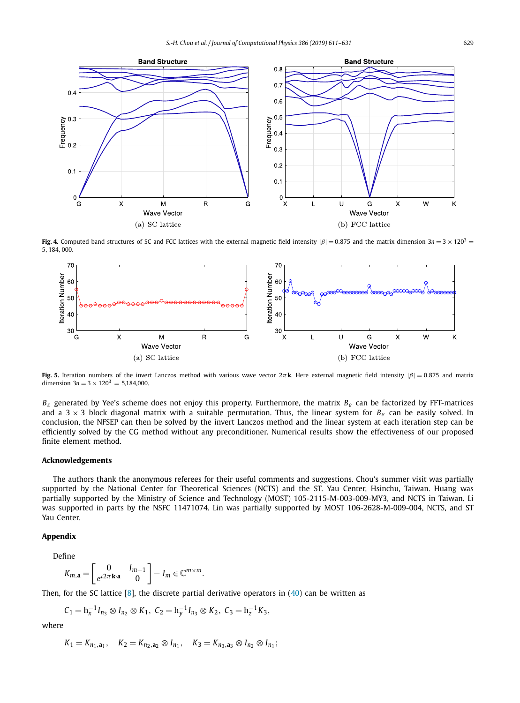<span id="page-18-0"></span>

**Fig. 4.** Computed band structures of SC and FCC lattices with the external magnetic field intensity  $|\beta| = 0.875$  and the matrix dimension  $3n = 3 \times 120^3$ 5*,* 184*,* 000.



**Fig. 5.** Iteration numbers of the invert Lanczos method with various wave vector  $2\pi$ **k**. Here external magnetic field intensity  $|\beta| = 0.875$  and matrix dimension  $3n = 3 \times 120^3 = 5,184,000$ .

*Bε* generated by Yee's scheme does not enjoy this property. Furthermore, the matrix *Bε* can be factorized by FFT-matrices and a 3  $\times$  3 block diagonal matrix with a suitable permutation. Thus, the linear system for  $B_{\varepsilon}$  can be easily solved. In conclusion, the NFSEP can then be solved by the invert Lanczos method and the linear system at each iteration step can be efficiently solved by the CG method without any preconditioner. Numerical results show the effectiveness of our proposed finite element method.

# **Acknowledgements**

The authors thank the anonymous referees for their useful comments and suggestions. Chou's summer visit was partially supported by the National Center for Theoretical Sciences (NCTS) and the ST. Yau Center, Hsinchu, Taiwan. Huang was partially supported by the Ministry of Science and Technology (MOST) 105-2115-M-003-009-MY3, and NCTS in Taiwan. Li was supported in parts by the NSFC 11471074. Lin was partially supported by MOST 106-2628-M-009-004, NCTS, and ST Yau Center.

# **Appendix**

Define

$$
K_{m,\mathbf{a}} = \begin{bmatrix} 0 & I_{m-1} \\ e^{i2\pi \mathbf{k} \cdot \mathbf{a}} & 0 \end{bmatrix} - I_m \in \mathbb{C}^{m \times m}.
$$

Then, for the SC lattice  $[8]$ , the discrete partial derivative operators in  $(40)$  can be written as

$$
C_1=h_x^{-1}I_{n_3}\otimes I_{n_2}\otimes K_1, C_2=h_y^{-1}I_{n_3}\otimes K_2, C_3=h_z^{-1}K_3,
$$

where

$$
K_1 = K_{n_1, \mathbf{a}_1}, \quad K_2 = K_{n_2, \mathbf{a}_2} \otimes I_{n_1}, \quad K_3 = K_{n_3, \mathbf{a}_3} \otimes I_{n_2} \otimes I_{n_1};
$$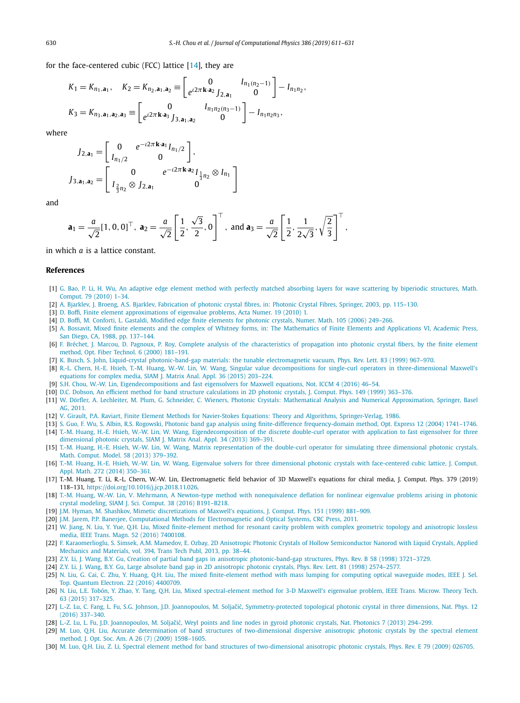<span id="page-19-0"></span>for the face-centered cubic (FCC) lattice  $[14]$ , they are

$$
K_1 = K_{n_1, \mathbf{a}_1}, \quad K_2 = K_{n_2, \mathbf{a}_1, \mathbf{a}_2} \equiv \begin{bmatrix} 0 & I_{n_1(n_2 - 1)} \\ e^{i2\pi \mathbf{k} \cdot \mathbf{a}_2} I_{2, \mathbf{a}_1} & 0 \end{bmatrix} - I_{n_1 n_2},
$$
  
\n
$$
K_3 = K_{n_3, \mathbf{a}_1, \mathbf{a}_2, \mathbf{a}_3} \equiv \begin{bmatrix} 0 & I_{n_1 n_2(n_3 - 1)} \\ e^{i2\pi \mathbf{k} \cdot \mathbf{a}_3} I_{3, \mathbf{a}_1, \mathbf{a}_2} & 0 \end{bmatrix} - I_{n_1 n_2 n_3},
$$

where

$$
J_{2,\mathbf{a}_1} = \begin{bmatrix} 0 & e^{-i2\pi \mathbf{k} \cdot \mathbf{a}_1} I_{n_1/2} \\ I_{n_1/2} & 0 \end{bmatrix},
$$
  
\n
$$
J_{3,\mathbf{a}_1,\mathbf{a}_2} = \begin{bmatrix} 0 & e^{-i2\pi \mathbf{k} \cdot \mathbf{a}_2} I_{\frac{1}{3}n_2} \otimes I_{n_1} \\ I_{\frac{2}{3}n_2} \otimes J_{2,\mathbf{a}_1} & 0 \end{bmatrix}
$$

and

$$
\mathbf{a}_1 = \frac{a}{\sqrt{2}} [1, 0, 0]^{\top}, \ \mathbf{a}_2 = \frac{a}{\sqrt{2}} \left[ \frac{1}{2}, \frac{\sqrt{3}}{2}, 0 \right]^{\top}, \text{ and } \mathbf{a}_3 = \frac{a}{\sqrt{2}} \left[ \frac{1}{2}, \frac{1}{2\sqrt{3}}, \sqrt{\frac{2}{3}} \right]^{\top},
$$

in which *a* is a lattice constant.

#### **References**

- [1] G. Bao, P. Li, H. Wu, An adaptive edge element method with perfectly matched absorbing layers for wave scattering by biperiodic [structures,](http://refhub.elsevier.com/S0021-9991(19)30146-9/bib62616C6977753A32303130s1) Math. [Comput.](http://refhub.elsevier.com/S0021-9991(19)30146-9/bib62616C6977753A32303130s1) 79 (2010) 1–34.
- [2] A. Bjarklev, J. Broeng, A.S. Bjarklev, Fabrication of photonic crystal fibres, in: Photonic Crystal Fibres, Springer, 2003, [pp. 115–130.](http://refhub.elsevier.com/S0021-9991(19)30146-9/bib626A6272626A3A32303033s1)
- [3] D. Boffi, Finite element [approximations](http://refhub.elsevier.com/S0021-9991(19)30146-9/bib626F66663A32303130s1) of eigenvalue problems, Acta Numer. 19 (2010) 1.
- [4] D. Boffi, M. Conforti, L. Gastaldi, Modified edge finite elements for photonic crystals, Numer. Math. 105 (2006) [249–266.](http://refhub.elsevier.com/S0021-9991(19)30146-9/bib626F636F67613A32303036s1)
- [5] A. Bossavit, Mixed finite elements and the complex of Whitney forms, in: The [Mathematics](http://refhub.elsevier.com/S0021-9991(19)30146-9/bib626F73733A31393838s1) of Finite Elements and Applications VI, Academic Press, San Diego, CA, 1988, [pp. 137–144.](http://refhub.elsevier.com/S0021-9991(19)30146-9/bib626F73733A31393838s1)
- [6] F. Bréchet, J. Marcou, D. Pagnoux, P. Roy, Complete analysis of the [characteristics](http://refhub.elsevier.com/S0021-9991(19)30146-9/bib62726D70723A32303030s1) of propagation into photonic crystal fibers, by the finite element method, Opt. Fiber Technol. 6 (2000) [181–191.](http://refhub.elsevier.com/S0021-9991(19)30146-9/bib62726D70723A32303030s1)
- [7] K. Busch, S. John, Liquid-crystal [photonic-band-gap](http://refhub.elsevier.com/S0021-9991(19)30146-9/bib62756A6F3A31393939s1) materials: the tunable electromagnetic vacuum, Phys. Rev. Lett. 83 (1999) 967–970.
- [8] R.-L. Chern, H.-E. Hsieh, T.-M. Huang, W.-W. Lin, W. Wang, Singular value decompositions for single-curl operators in [three-dimensional](http://refhub.elsevier.com/S0021-9991(19)30146-9/bib636868683A32303133s1) Maxwell's [equations](http://refhub.elsevier.com/S0021-9991(19)30146-9/bib636868683A32303133s1) for complex media, SIAM J. Matrix Anal. Appl. 36 (2015) 203–224.
- [9] S.H. Chou, W.-W. Lin, [Eigendecompositions](http://refhub.elsevier.com/S0021-9991(19)30146-9/bib63686C693A32303136s1) and fast eigensolvers for Maxwell equations, Not. ICCM 4 (2016) 46–54.
- [10] D.C. Dobson, An efficient method for band structure [calculations](http://refhub.elsevier.com/S0021-9991(19)30146-9/bib646F62733A31393939s1) in 2D photonic crystals, J. Comput. Phys. 149 (1999) 363–376.
- [11] W. Dörfler, A. Lechleiter, M. Plum, G. Schneider, C. Wieners, Photonic Crystals: Mathematical Analysis and Numerical [Approximation,](http://refhub.elsevier.com/S0021-9991(19)30146-9/bib646F6C7073773A32303131s1) Springer, Basel AG, [2011.](http://refhub.elsevier.com/S0021-9991(19)30146-9/bib646F6C7073773A32303131s1)
- [12] V. Girault, P.A. Raviart, Finite Element Methods for Navier-Stokes Equations: Theory and Algorithms, [Springer-Verlag,](http://refhub.elsevier.com/S0021-9991(19)30146-9/bib676972613A31393836s1) 1986.
- [13] S. Guo, F. Wu, S. Albin, R.S. Rogowski, Photonic band gap analysis using finite-difference [frequency-domain](http://refhub.elsevier.com/S0021-9991(19)30146-9/bib67757761723A32303034s1) method, Opt. Express 12 (2004) 1741–1746.
- [14] T.-M. Huang, H.-E. Hsieh, W.-W. Lin, W. Wang, [Eigendecomposition](http://refhub.elsevier.com/S0021-9991(19)30146-9/bib6875686C3A32303133s1) of the discrete double-curl operator with application to fast eigensolver for three [dimensional](http://refhub.elsevier.com/S0021-9991(19)30146-9/bib6875686C3A32303133s1) photonic crystals, SIAM J. Matrix Anal. Appl. 34 (2013) 369–391.
- [15] T.-M. Huang, H.-E. Hsieh, W.-W. Lin, W. Wang, Matrix [representation](http://refhub.elsevier.com/S0021-9991(19)30146-9/bib6875686C3A32303132s1) of the double-curl operator for simulating three dimensional photonic crystals, Math. Comput. Model. 58 (2013) [379–392.](http://refhub.elsevier.com/S0021-9991(19)30146-9/bib6875686C3A32303132s1)
- [16] T.-M. Huang, H.-E. Hsieh, W.-W. Lin, W. Wang, Eigenvalue solvers for three dimensional photonic crystals with [face-centered](http://refhub.elsevier.com/S0021-9991(19)30146-9/bib6875686C3A32303134s1) cubic lattice, J. Comput. Appl. Math. 272 (2014) [350–361.](http://refhub.elsevier.com/S0021-9991(19)30146-9/bib6875686C3A32303134s1)
- [17] T.-M. Huang, T. Li, R.-L. Chern, W.-W. Lin, Electromagnetic field behavior of 3D Maxwell's equations for chiral media, J. Comput. Phys. 379 (2019) 118–131, [https://doi.org/10.1016/j.jcp.2018.11.026.](https://doi.org/10.1016/j.jcp.2018.11.026)
- [18] T.-M. Huang, W.-W. Lin, V. Mehrmann, A Newton-type method with [nonequivalence](http://refhub.elsevier.com/S0021-9991(19)30146-9/bib68756C6D3A32303136s1) deflation for nonlinear eigenvalue problems arising in photonic crystal modeling, SIAM J. Sci. Comput. 38 (2016) [B191–B218.](http://refhub.elsevier.com/S0021-9991(19)30146-9/bib68756C6D3A32303136s1)
- [19] J.M. Hyman, M. Shashkov, Mimetic [discretizations](http://refhub.elsevier.com/S0021-9991(19)30146-9/bib687973683A31393939s1) of Maxwell's equations, J. Comput. Phys. 151 (1999) 881–909.
- [20] J.M. Jarem, P.P. Banerjee, Computational Methods for [Electromagnetic](http://refhub.elsevier.com/S0021-9991(19)30146-9/bib6A6162613A32303131s1) and Optical Systems, CRC Press, 2011.
- [21] W. Jiang, N. Liu, Y. Yue, Q.H. Liu, Mixed [finite-element](http://refhub.elsevier.com/S0021-9991(19)30146-9/bib6A696C796C3A32303136s1) method for resonant cavity problem with complex geometric topology and anisotropic lossless media, IEEE Trans. Magn. 52 (2016) [7400108.](http://refhub.elsevier.com/S0021-9991(19)30146-9/bib6A696C796C3A32303136s1)
- [22] F. [Karaomerlioglu,](http://refhub.elsevier.com/S0021-9991(19)30146-9/bib6B61736D6F3A32303133s1) S. Simsek, A.M. Mamedov, E. Ozbay, 2D Anisotropic Photonic Crystals of Hollow Semiconductor Nanorod with Liquid Crystals, Applied Mechanics and Materials, vol. 394, Trans Tech Publ, 2013, [pp. 38–44.](http://refhub.elsevier.com/S0021-9991(19)30146-9/bib6B61736D6F3A32303133s1)
- [23] Z.Y. Li, J. Wang, B.Y. Gu, Creation of partial band gaps in anisotropic [photonic-band-gap](http://refhub.elsevier.com/S0021-9991(19)30146-9/bib6C6977673A3139393861s1) structures, Phys. Rev. B 58 (1998) 3721–3729.
- [24] Z.Y. Li, J. Wang, B.Y. Gu, Large absolute band gap in 2D anisotropic photonic crystals, Phys. Rev. Lett. 81 (1998) [2574–2577.](http://refhub.elsevier.com/S0021-9991(19)30146-9/bib6C6977673A3139393862s1)
- [25] N. Liu, G. Cai, C. Zhu, Y. Huang, Q.H. Liu, The mixed [finite-element](http://refhub.elsevier.com/S0021-9991(19)30146-9/bib6C69637A686C3A32303136s1) method with mass lumping for computing optical waveguide modes, IEEE J. Sel. Top. [Quantum](http://refhub.elsevier.com/S0021-9991(19)30146-9/bib6C69637A686C3A32303136s1) Electron. 22 (2016) 4400709.
- [26] N. Liu, L.E. Tobón, Y. Zhao, Y. Tang, Q.H. Liu, Mixed [spectral-element](http://refhub.elsevier.com/S0021-9991(19)30146-9/bib6C69747A746C3A32303135s1) method for 3-D Maxwell's eigenvalue problem, IEEE Trans. Microw. Theory Tech. 63 (2015) [317–325.](http://refhub.elsevier.com/S0021-9991(19)30146-9/bib6C69747A746C3A32303135s1)
- [27] L.-Z. Lu, C. Fang, L. Fu, S.G. Johnson, J.D. Joannopoulos, M. Soljačić, [Symmetry-protected](http://refhub.elsevier.com/S0021-9991(19)30146-9/bib6C7566666A6A733A32303136s1) topological photonic crystal in three dimensions, Nat. Phys. 12 (2016) [337–340.](http://refhub.elsevier.com/S0021-9991(19)30146-9/bib6C7566666A6A733A32303136s1)
- [28] L.-Z. Lu, L. Fu, J.D. [Joannopoulos,](http://refhub.elsevier.com/S0021-9991(19)30146-9/bib6C75666A733A32303133s1) M. Soljačić, Weyl points and line nodes in gyroid photonic crystals, Nat. Photonics 7 (2013) 294-299.
- [29] M. Luo, O.H. Liu, Accurate determination of band structures of [two-dimensional](http://refhub.elsevier.com/S0021-9991(19)30146-9/bib6C756C693A3230303961s1) dispersive anisotropic photonic crystals by the spectral element method, J. Opt. Soc. Am. A 26 (7) (2009) [1598–1605.](http://refhub.elsevier.com/S0021-9991(19)30146-9/bib6C756C693A3230303961s1)
- [30] M. Luo, Q.H. Liu, Z. Li, Spectral element method for band structures of [two-dimensional](http://refhub.elsevier.com/S0021-9991(19)30146-9/bib6C756C6C3A32303039s1) anisotropic photonic crystals, Phys. Rev. E 79 (2009) 026705.